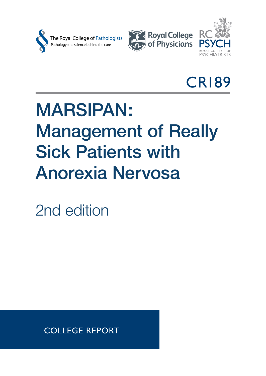





CR189

## MARSIPAN: Management of Really Sick Patients with Anorexia Nervosa

2nd edition

COLLEGE REPORT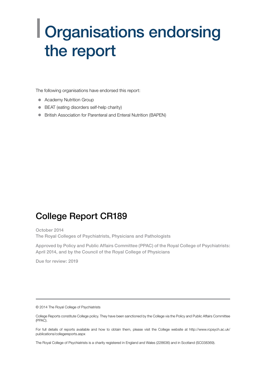## | Organisations endorsing the report

The following organisations have endorsed this report:

- Academy Nutrition Group
- BEAT (eating disorders self-help charity)
- **•** British Association for Parenteral and Enteral Nutrition (BAPEN)

## College Report CR189

October 2014 The Royal Colleges of Psychiatrists, Physicians and Pathologists

Approved by Policy and Public Affairs Committee (PPAC) of the Royal College of Psychiatrists: April 2014, and by the Council of the Royal College of Physicians

Due for review: 2019

© 2014 The Royal College of Psychiatrists

For full details of reports available and how to obtain them, please visit the College website at http://www.rcpsych.ac.uk/ publications/collegereports.aspx

The Royal College of Psychiatrists is a charity registered in England and Wales (228636) and in Scotland (SC038369).

College Reports constitute College policy. They have been sanctioned by the College via the Policy and Public Affairs Committee (PPAC).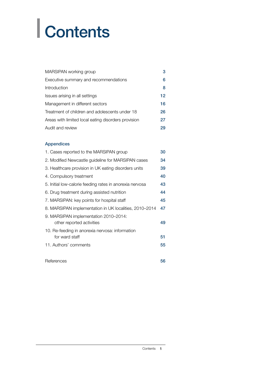# | Contents

| MARSIPAN working group                              | 3  |
|-----------------------------------------------------|----|
| Executive summary and recommendations               | 6  |
| Introduction                                        | 8  |
| Issues arising in all settings                      | 12 |
| Management in different sectors                     | 16 |
| Treatment of children and adolescents under 18      | 26 |
| Areas with limited local eating disorders provision | 27 |
| Audit and review                                    | 29 |

#### Appendices

| 1. Cases reported to the MARSIPAN group                            | 30 |
|--------------------------------------------------------------------|----|
| 2. Modified Newcastle guideline for MARSIPAN cases                 | 34 |
| 3. Healthcare provision in UK eating disorders units               | 39 |
| 4. Compulsory treatment                                            | 40 |
| 5. Initial low-calorie feeding rates in anorexia nervosa           | 43 |
| 6. Drug treatment during assisted nutrition                        | 44 |
| 7. MARSIPAN: key points for hospital staff                         | 45 |
| 8. MARSIPAN implementation in UK localities, 2010-2014             | 47 |
| 9. MARSIPAN implementation 2010-2014:<br>other reported activities | 49 |
| 10. Re-feeding in anorexia nervosa: information<br>for ward staff  | 51 |
| 11. Authors' comments                                              | 55 |
| References                                                         | 56 |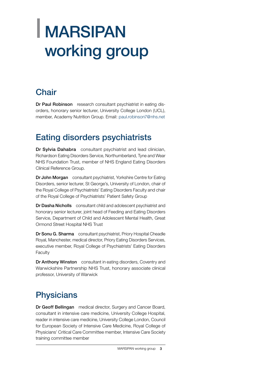## <span id="page-4-0"></span>| MARSIPAN working group

## **Chair**

Dr Paul Robinson research consultant psychiatrist in eating disorders, honorary senior lecturer, University College London (UCL), member, Academy Nutrition Group. Email: paul.robinson7@nhs.net

## Eating disorders psychiatrists

Dr Sylvia Dahabra consultant psychiatrist and lead clinician, Richardson Eating Disorders Service, Northumberland, Tyne and Wear NHS Foundation Trust, member of NHS England Eating Disorders Clinical Reference Group.

Dr John Morgan consultant psychiatrist, Yorkshire Centre for Eating Disorders, senior lecturer, St George's, University of London, chair of the Royal College of Psychiatrists' Eating Disorders Faculty and chair of the Royal College of Psychiatrists' Patient Safety Group

Dr Dasha Nicholls consultant child and adolescent psychiatrist and honorary senior lecturer, joint head of Feeding and Eating Disorders Service, Department of Child and Adolescent Mental Health, Great Ormond Street Hospital NHS Trust

Dr Sonu G. Sharma consultant psychiatrist, Priory Hospital Cheadle Royal, Manchester, medical director, Priory Eating Disorders Services, executive member, Royal College of Psychiatrists' Eating Disorders Faculty

Dr Anthony Winston consultant in eating disorders, Coventry and Warwickshire Partnership NHS Trust, honorary associate clinical professor, University of Warwick

## **Physicians**

Dr Geoff Bellingan medical director, Surgery and Cancer Board, consultant in intensive care medicine, University College Hospital, reader in intensive care medicine, University College London, Council for European Society of Intensive Care Medicine, Royal College of Physicians' Critical Care Committee member, Intensive Care Society training committee member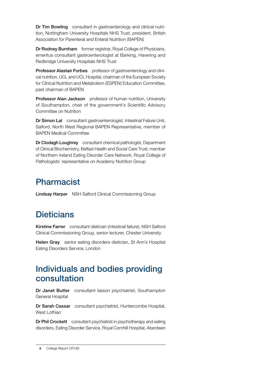Dr Tim Bowling consultant in gastroenterology and clinical nutrition, Nottingham University Hospitals NHS Trust, president, British Association for Parenteral and Enteral Nutrition (BAPEN)

Dr Rodney Burnham former registrar, Royal College of Physicians, emeritus consultant gastroenterologist at Barking, Havering and Redbridge University Hospitals NHS Trust

Professor Alastair Forbes professor of gastroenterology and clinical nutrition, UCL and UCL Hospital, chairman of the European Society for Clinical Nutrition and Metabolism (ESPEN) Education Committee, past chairman of BAPEN

**Professor Alan Jackson** professor of human nutrition, University of Southampton, chair of the government's Scientific Advisory Committee on Nutrition

Dr Simon Lal consultant gastroenterologist, Intestinal Failure Unit, Salford, North West Regional BAPEN Representative, member of BAPEN Medical Committee

Dr Clodagh Loughrey consultant chemical pathologist, Department of Clinical Biochemistry, Belfast Health and Social Care Trust, member of Northern Ireland Eating Disorder Care Network, Royal College of Pathologists' representative on Academy Nutrition Group

## Pharmacist

Lindsay Harper NSH Salford Clinical Commissioning Group

## **Dieticians**

Kirstine Farrer consultant dietician (intestinal failure), NSH Salford Clinical Commissioning Group, senior lecturer, Chester University

Helen Gray senior eating disorders dietician, St Ann's Hospital Eating Disorders Service, London

### Individuals and bodies providing consultation

Dr Janet Butler consultant liaison psychiatrist, Southampton General Hospital

Dr Sarah Cassar consultant psychiatrist, Huntercombe Hospital, West Lothian

Dr Phil Crockett consultant psychiatrist in psychotherapy and eating disorders, Eating Disorder Service, Royal Cornhill Hospital, Aberdeen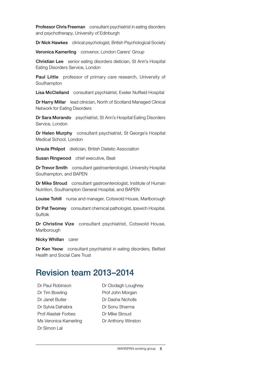Professor Chris Freeman consultant psychiatrist in eating disorders and psychotherapy, University of Edinburgh

Dr Nick Hawkes clinical psychologist, British Psychological Society

Veronica Kamerling convenor, London Carers' Group

Christian Lee senior eating disorders dietician, St Ann's Hospital Eating Disorders Service, London

Paul Little professor of primary care research, University of Southampton

Lisa McClelland consultant psychiatrist, Exeter Nuffield Hospital

Dr Harry Millar lead clinician, North of Scotland Managed Clinical Network for Eating Disorders

Dr Sara Morando psychiatrist, St Ann's Hospital Eating Disorders Service, London

Dr Helen Murphy consultant psychiatrist, St George's Hospital Medical School, London

Ursula Philpot dietician, British Dietetic Association

Susan Ringwood chief executive, Beat

Dr Trevor Smith consultant gastroenterologist, University Hospital Southampton, and BAPEN

Dr Mike Stroud consultant gastroenterologist, Institute of Human Nutrition, Southampton General Hospital, and BAPEN

Louise Tohill nurse and manager, Cotswold House, Marlborough

Dr Pat Twomey consultant chemical pathologist, Ipswich Hospital, Suffolk

Dr Christine Vize consultant psychiatrist, Cotswold House, Marlborough

Nicky Whillan carer

Dr Ken Yeow consultant psychiatrist in eating disorders, Belfast Health and Social Care Trust

## Revision team 2013–2014

Dr Paul Robinson Dr Clodagh Loughrey Dr Tim Bowling Prof John Morgan Dr Janet Butler **Dr Dasha Nicholls** Dr Sylvia Dahabra **Dr Sonu Sharma** Prof Alastair Forbes Dr Mike Stroud Ms Veronica Kamerling Dr Anthony Winston Dr Simon Lal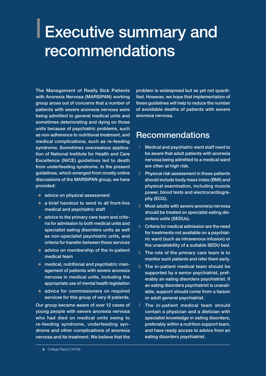## <span id="page-7-0"></span>| Executive summary and recommendations

The Management of Really Sick Patients with Anorexia Nervosa (MARSIPAN) working group arose out of concerns that a number of patients with severe anorexia nervosa were being admitted to general medical units and sometimes deteriorating and dying on those units because of psychiatric problems, such as non-adherence to nutritional treatment, and medical complications, such as re-feeding syndrome. Sometimes overzealous application of National Institute for Health and Care Excellence (NICE) guidelines led to death from underfeeding syndrome. In the present guidelines, which emerged from mostly online discussions of the MARSIPAN group, we have provided:

- advice on physical assessment
- $\bullet$  a brief handout to send to all front-line medical and psychiatric staff
- $\bullet$  advice to the primary care team and criteria for admission to both medical units and specialist eating disorders units as well as non-specialist psychiatric units, and criteria for transfer between those services
- $\bullet$  advice on membership of the in-patient medical team
- medical, nutritional and psychiatric management of patients with severe anorexia nervosa in medical units, including the appropriate use of mental health legislation
- advice for commissioners on required services for this group of very ill patients.

Our group became aware of over 12 cases of young people with severe anorexia nervosa who had died on medical units owing to re-feeding syndrome, underfeeding syndrome and other complications of anorexia nervosa and its treatment. We believe that the

problem is widespread but as yet not quantified. However, we hope that implementation of these guidelines will help to reduce the number of avoidable deaths of patients with severe anorexia nervosa.

## Recommendations

- 1 Medical and psychiatric ward staff need to be aware that adult patients with anorexia nervosa being admitted to a medical ward are often at high risk.
- 2 Physical risk assessment in these patients should include body mass index (BMI) and physical examination, including muscle power, blood tests and electrocardiography (ECG).
- 3 Most adults with severe anorexia nervosa should be treated on specialist eating disorders units (SEDUs).
- 4 Criteria for medical admission are the need for treatments not available on a psychiatric ward (such as intravenous infusion) or the unavailability of a suitable SEDU bed.
- 5 The role of the primary care team is to monitor such patients and refer them early.
- 6 The in-patient medical team should be supported by a senior psychiatrist, preferably an eating disorders psychiatrist. If an eating disorders psychiatrist is unavailable, support should come from a liaison or adult general psychiatrist.
- 7 The in-patient medical team should contain a physician and a dietician with specialist knowledge in eating disorders, preferably within a nutrition support team, and have ready access to advice from an eating disorders psychiatrist.

<sup>6</sup> College Report CR189 6 College Report CR189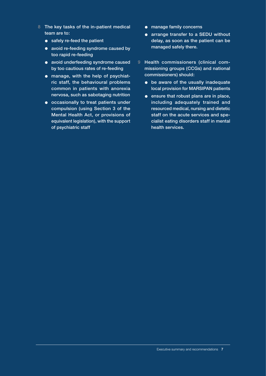- 8 The key tasks of the in-patient medical team are to:
	- $\bullet$  safely re-feed the patient
	- avoid re-feeding syndrome caused by too rapid re-feeding
	- avoid underfeeding syndrome caused by too cautious rates of re-feeding
	- manage, with the help of psychiatric staff, the behavioural problems common in patients with anorexia nervosa, such as sabotaging nutrition
	- $\bullet$  occasionally to treat patients under compulsion (using Section 3 of the Mental Health Act, or provisions of equivalent legislation), with the support of psychiatric staff
- **•** manage family concerns
- **a** arrange transfer to a SEDU without delay, as soon as the patient can be managed safely there.
- 9 Health commissioners (clinical commissioning groups (CCGs) and national commissioners) should:
	- $\bullet$  be aware of the usually inadequate local provision for MARSIPAN patients
	- $\bullet$  ensure that robust plans are in place, including adequately trained and resourced medical, nursing and dietetic staff on the acute services and specialist eating disorders staff in mental health services.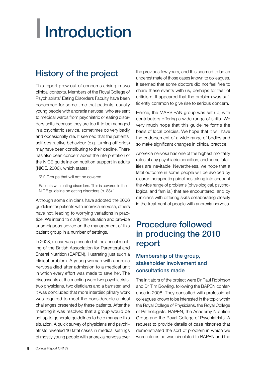# <span id="page-9-0"></span>| Introduction

## History of the project

This report grew out of concerns arising in two clinical contexts. Members of the Royal College of Psychiatrists' Eating Disorders Faculty have been concerned for some time that patients, usually young people with anorexia nervosa, who are sent to medical wards from psychiatric or eating disorders units because they are too ill to be managed in a psychiatric service, sometimes do very badly and occasionally die. It seemed that the patients' self-destructive behaviour (e.g. turning off drips) may have been contributing to their decline. There has also been concern about the interpretation of the NICE guideline on nutrition support in adults (NICE, 2006), which states:

'2.2 Groups that will not be covered

Patients with eating disorders. This is covered in the NICE guideline on eating disorders (p. 38).'

Although some clinicians have adopted the 2006 guideline for patients with anorexia nervosa, others have not, leading to worrying variations in practice. We intend to clarify the situation and provide unambiguous advice on the management of this patient group in a number of settings.

In 2008, a case was presented at the annual meeting of the British Association for Parenteral and Enteral Nutrition (BAPEN), illustrating just such a clinical problem. A young woman with anorexia nervosa died after admission to a medical unit in which every effort was made to save her. The discussants at the meeting were two psychiatrists, two physicians, two dieticians and a barrister, and it was concluded that more interdisciplinary work was required to meet the considerable clinical challenges presented by these patients. After the meeting it was resolved that a group would be set up to generate guidelines to help manage this situation. A quick survey of physicians and psychiatrists revealed 16 fatal cases in medical settings of mostly young people with anorexia nervosa over

the previous few years, and this seemed to be an underestimate of those cases known to colleagues. It seemed that some doctors did not feel free to share these events with us, perhaps for fear of criticism. It appeared that the problem was sufficiently common to give rise to serious concern.

Hence, the MARSIPAN group was set up, with contributors offering a wide range of skills. We very much hope that this guideline forms the basis of local policies. We hope that it will have the endorsement of a wide range of bodies and so make significant changes in clinical practice.

Anorexia nervosa has one of the highest mortality rates of any psychiatric condition, and some fatalities are inevitable. Nevertheless, we hope that a fatal outcome in some people will be avoided by clearer therapeutic guidelines taking into account the wide range of problems (physiological, psychological and familial) that are encountered, and by clinicians with differing skills collaborating closely in the treatment of people with anorexia nervosa.

### Procedure followed in producing the 2010 report

#### Membership of the group, stakeholder involvement and consultations made

The initiators of the project were Dr Paul Robinson and Dr Tim Bowling, following the BAPEN conference in 2008. They consulted with professional colleagues known to be interested in the topic within the Royal College of Physicians, the Royal College of Pathologists, BAPEN, the Academy Nutrition Group and the Royal College of Psychiatrists. A request to provide details of case histories that demonstrated the sort of problem in which we were interested was circulated to BAPEN and the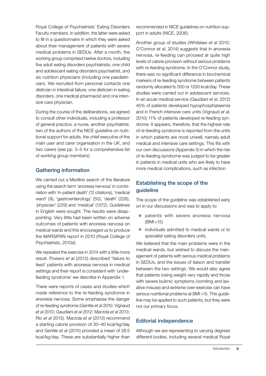Royal College of Psychiatrists' Eating Disorders Faculty members. In addition, the latter were asked to fill in a questionnaire in which they were asked about their management of patients with severe medical problems in SEDUs. After a month, the working group comprised twelve doctors, including five adult eating disorders psychiatrists, one child and adolescent eating disorders psychiatrist, and six nutrition physicians (including one paediatrician). We recruited from personal contacts one dietician in intestinal failure, one dietician in eating disorders, one medical pharmacist and one intensive care physician.

During the course of the deliberations, we agreed to consult other individuals, including a professor of general practice, a nurse, another psychiatrist, two of the authors of the NICE guideline on nutritional support for adults, the chief executive of the main user and carer organisation in the UK, and two carers (see pp. 3–5 for a comprehensive list of working group members).

#### Gathering information

We carried out a Medline search of the literature using the search term 'anorexia nervosa' in combination with 'in-patient death' (12 citations), 'medical ward' (9), 'gastroenterology' (50), 'death' (228), 'physician' (229) and 'medical' (1372). Guidelines in English were sought. The results were disappointing. Very little had been written on adverse outcomes of patients with anorexia nervosa on medical wards and this encouraged us to produce the MARSIPAN report in 2010 (Royal College of Psychiatrists, 2010*a*).

We repeated the exercise in 2014 with a little more result. Powers *et al* (2013) described 'failure to feed' patients with anorexia nervosa in medical settings and their report is consistent with 'underfeeding syndrome' we describe in Appendix 1.

There were reports of cases and studies which made reference to the re-feeding syndrome in anorexia nervosa. Some emphasise the danger of re-feeding syndrome (Gentile *et al* 2010; Vignaud *et al* 2010; Gaudiani *et al* 2012; Marzola *et al* 2013; Rio *et al* 2013). Marzola *et al* (2013) recommend a starting calorie provision of 30–40 kcal/kg/day and Gentile *et al* (2010) provided a mean of 28.5 kcal/kg/day. These are substantially higher than

recommended in NICE guidelines on nutrition support in adults (NICE, 2006).

Another group of studies (Whitelaw *et al* 2010; O'Connor *et al*, 2014) suggests that in anorexia nervosa, re-feeding can proceed at quite high levels of calorie provision without serious problems with re-feeding syndrome. In the O'Connor study, there was no significant difference in biochemical markers of re-feeding syndrome between patients randomly allocated to 500 or 1200 kcal/day. These studies were carried out in adolescent services. In an acute medical service (Gaudiani *et al*, 2012) 45% of patients developed hypophosphataemia and in French intensive care units (Vignaud *et al*, 2010) 11% of patients developed re-feeding syndrome. It appears, therefore, that the highest rate of re-feeding syndrome is reported from the units in which patients are most unwell, namely adult medical and intensive care settings. This fits with our own discussions (Appendix 5) in which the risk of re-feeding syndrome was judged to be greater in patients in medical units who are likely to have more medical complications, such as infection.

#### Establishing the scope of the guideline

The scope of the guideline was established early on in our discussions and was to apply to:

- patients with severe anorexia nervosa (BMI<15)
- $\bullet$  individuals admitted to medical wards or to specialist eating disorders units.

We believed that the main problems were in the medical wards, but wished to discuss the management of patients with serious medical problems in SEDUs, and the issues of liaison and transfer between the two settings. We would also agree that patients losing weight very rapidly and those with severe bulimic symptoms (vomiting and laxative misuse) and extreme over-exercise can have serious nutritional problems at BMI>15. This guideline may be applied to such patients, but they were not our primary focus.

#### Editorial independence

Although we are representing to varying degrees different bodies, including several medical Royal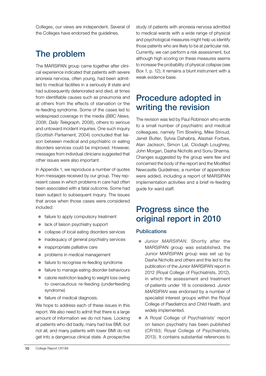Colleges, our views are independent. Several of the Colleges have endorsed the guidelines.

## The problem

The MARSIPAN group came together after clinical experience indicated that patients with severe anorexia nervosa, often young, had been admitted to medical facilities in a seriously ill state and had subsequently deteriorated and died, at times from identifiable causes such as pneumonia and at others from the effects of starvation or the re-feeding syndrome. Some of the cases led to widespread coverage in the media (*BBC News*, 2008; *Daily Telegraph*, 2008), others to serious and untoward incident inquiries. One such inquiry (Scottish Parliament, 2004) concluded that liaison between medical and psychiatric or eating disorders services could be improved. However, messages from individual clinicians suggested that other issues were also important.

In Appendix 1, we reproduce a number of quotes from messages received by our group. They represent cases in which problems in care had often been associated with a fatal outcome. Some had been subject to subsequent inquiry. The issues that arose when those cases were considered included:

- failure to apply compulsory treatment
- $\bullet$  lack of liaison psychiatry support
- collapse of local eating disorders services
- inadequacy of general psychiatry services
- $\bullet$  inappropriate palliative care
- problems in medical management
- $\bullet$  failure to recognise re-feeding syndrome
- failure to manage eating disorder behaviours
- $\bullet$  calorie restriction leading to weight loss owing to overcautious re-feeding (underfeeding syndrome)
- $\bullet$  failure of medical diagnosis.

We hope to address each of these issues in this report. We also need to admit that there is a large amount of information we do not have. Looking at patients who did badly, many had low BMI, but not all, and many patients with lower BMI do not get into a dangerous clinical state. A prospective study of patients with anorexia nervosa admitted to medical wards with a wide range of physical and psychological measures might help us identify those patients who are likely to be at particular risk. Currently, we can perform a risk assessment, but although high scoring on these measures seems to increase the probability of physical collapse (see Box 1, p. 12), it remains a blunt instrument with a weak evidence base.

## Procedure adopted in writing the revision

The revision was led by Paul Robinson who wrote to a small number of psychiatric and medical colleagues, namely Tim Bowling, Mike Stroud, Janet Butler, Sylvia Dahabra, Alastair Forbes, Alan Jackson, Simon Lal, Clodagh Loughrey, John Morgan, Dasha Nicholls and Sonu Sharma. Changes suggested by the group were few and concerned the body of the report and the Modified Newcastle Guidelines; a number of appendices were added, including a report of MARSIPAN implementation activities and a brief re-feeding guide for ward staff.

## Progress since the original report in 2010

#### **Publications**

- **Junior MARSIPAN.** Shortly after the MARSIPAN group was established, the Junior MARSIPAN group was set up by Dasha Nicholls and others and this led to the publication of the *Junior MARSIPAN* report in 2012 (Royal College of Psychiatrists, 2012), in which the assessment and treatment of patients under 18 is considered. *Junior MARSIPAN* was endorsed by a number of specialist interest groups within the Royal College of Paediatrics and Child Health, and widely implemented.
- A Royal College of Psychiatrists' report on liaison psychiatry has been published (CR183; Royal College of Psychiatrists, 2013). It contains substantial references to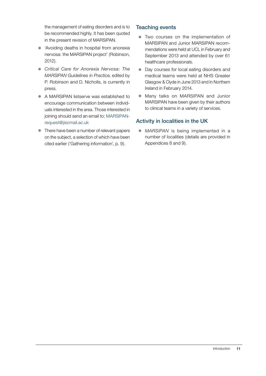the management of eating disorders and is to be recommended highly. It has been quoted in the present revision of MARSIPAN.

- 'Avoiding deaths in hospital from anorexia nervosa: the MARSIPAN project' (Robinson, 2012).
- **•** Critical Care for Anorexia Nervosa: The *MARSIPAN Guidelines in Practice*, edited by P. Robinson and D. Nicholls, is currently in press.
- A MARSIPAN listserve was established to encourage communication between individuals interested in the area. Those interested in joining should send an email to: MARSIPANrequest@jiscmail.ac.uk
- There have been a number of relevant papers on the subject, a selection of which have been cited earlier ('Gathering information', p. 9).

#### Teaching events

- Two courses on the implementation of MARSIPAN and Junior MARSIPAN recommendations were held at UCL in February and September 2013 and attended by over 61 healthcare professionals.
- Day courses for local eating disorders and medical teams were held at NHS Greater Glasgow & Clyde in June 2013 and In Northern Ireland in February 2014.
- Many talks on MARSIPAN and Junior MARSIPAN have been given by their authors to clinical teams in a variety of services.

#### Activity in localities in the UK

• *MARSIPAN* is being implemented in a number of localities (details are provided in Appendices 8 and 9).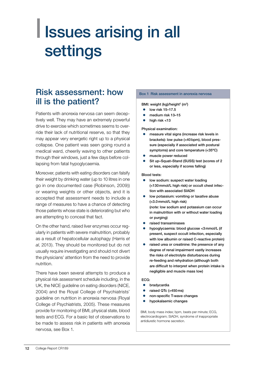## <span id="page-13-0"></span>| Issues arising in all settings

## Risk assessment: how ill is the patient?

Patients with anorexia nervosa can seem deceptively well. They may have an extremely powerful drive to exercise which sometimes seems to override their lack of nutritional reserve, so that they may appear very energetic right up to a physical collapse. One patient was seen going round a medical ward, cheerily waving to other patients through their windows, just a few days before collapsing from fatal hypoglycaemia.

Moreover, patients with eating disorders can falsify their weight by drinking water (up to 10 litres in one go in one documented case (Robinson, 2009)) or wearing weights or other objects, and it is accepted that assessment needs to include a range of measures to have a chance of detecting those patients whose state is deteriorating but who are attempting to conceal that fact.

On the other hand, raised liver enzymes occur regularly in patients with severe malnutrition, probably as a result of hepatocellular autophagy (Harris *et al*, 2013). They should be monitored but do not usually require investigating and should not divert the physicians' attention from the need to provide nutrition.

There have been several attempts to produce a physical risk assessment schedule including, in the UK, the NICE guideline on eating disorders (NICE, 2004) and the Royal College of Psychiatrists' guideline on nutrition in anorexia nervosa (Royal College of Psychiatrists, 2005). These measures provide for monitoring of BMI, physical state, blood tests and ECG. For a basic list of observations to be made to assess risk in patients with anorexia nervosa, see Box 1.

#### Box 1 Risk assessment in anorexia nervosa

#### BMI: weight  $(kg)/$ height<sup>2</sup> (m<sup>2</sup>)

- z low risk 15–17.5
- medium risk 13-15
- high risk <13

Physical examination:

- measure vital signs (increase risk levels in brackets): low pulse (<40bpm), blood pressure (especially if associated with postural symptoms) and core temperature (<35ºC)
- muscle power reduced
- Sit up–Squat–Stand (SUSS) test (scores of 2 or less, especially if scores falling)

#### Blood tests:

- $\bullet$  low sodium: suspect water loading (<130mmol/L high risk) or occult chest infection with associated SIADH
- low potassium: vomiting or laxative abuse (<3.0mmol/L high risk) (*note:* low sodium and potassium can occur in malnutrition with or without water loading or purging)
- z raised transaminases
- hypoglycaemia: blood glucose <3mmol/L (if present, suspect occult infection, especially with low albumin or raised C-reactive protein)
- raised urea or creatinine: the presence of any degree of renal impairment vastly increases the risks of electrolyte disturbances during re-feeding and rehydration (although both are difficult to interpret when protein intake is negligible and muscle mass low)

#### ECG:

- $\bullet$  bradycardia
- raised QTc (>450ms)
- non-specific T-wave changes
- **•** hypokalaemic changes

BMI, body mass index; bpm, beats per minute; ECG, electrocardiogram; SIADH, syndrome of inappropriate antidiuretic hormone secretion.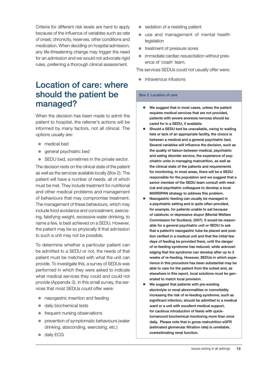Criteria for different risk levels are hard to apply because of the influence of variables such as rate of onset, chronicity, reserves, other conditions and medication. When deciding on hospital admission, any life-threatening change may trigger the need for an admission and we would not advocate rigid rules, preferring a thorough clinical assessment.

## Location of care: where should the patient be managed?

When the decision has been made to admit the patient to hospital, the referrer's actions will be informed by many factors, not all clinical. The options usually are:

- medical bed
- general psychiatric bed
- SEDU bed, sometimes in the private sector.

The decision rests on the clinical state of the patient as well as the services available locally (Box 2). The patient will have a number of needs, all of which must be met. They include treatment for nutritional and other medical problems and management of behaviours that may compromise treatment. The management of these behaviours, which may include food avoidance and concealment, exercising, falsifying weight, excessive water drinking, to name a few, is best achieved on a SEDU. However, the patient may be so physically ill that admission to such a unit may not be possible.

To determine whether a particular patient can be admitted to a SEDU or not, the needs of that patient must be matched with what the unit can provide. To investigate this, a survey of SEDUs was performed in which they were asked to indicate what medical services they could and could not provide (Appendix 3). In this small survey, the services that most SEDUs *could* offer were:

- nasogastric insertion and feeding
- daily biochemical tests
- $\bullet$  frequent nursing observations
- $\bullet$  prevention of symptomatic behaviours (water drinking, absconding, exercising, etc.)
- **c** daily ECG
- sedation of a resisting patient
- use and management of mental health legislation
- $\bullet$  treatment of pressure sores
- **•** immediate cardiac resuscitation without presence of 'crash' team.

The services SEDUs *could not* usually offer were:

 $\bullet$  intravenous infusions

#### Box 2 Location of care

- $\bullet$  We suggest that in most cases, unless the patient requires medical services that are not provided, patients with severe anorexia nervosa should be cared for in a SEDU, if available.
- Should a SEDU bed be unavailable, owing to waiting lists or lack of an appropriate facility, the choice is between a medical and a general psychiatric bed. Several variables will influence the decision, such as the quality of liaison between medical, psychiatric and eating disorder service, the experience of psychiatric units in managing malnutrition, as well as the clinical state of the patients and requirements for monitoring. In most areas, there will be a SEDU responsible for the population and we suggest that a senior member of the SEDU team consult with medical and psychiatric colleagues to develop a local MARSIPAN strategy to address this problem.
- Nasogastric feeding can usually be managed in a psychiatric setting and is quite often provided, for example, for patients unable to eat because of catatonic or depressive stupor (Mental Welfare Commission for Scotland, 2007). It would be reasonable for a general psychiatric unit or SEDU to ask that a patient's nasogastric tube be placed and position verified in a medical unit and that the initial few days of feeding be provided there, until the danger of re-feeding syndrome has reduced, while acknowledging that the syndrome can develop after up to 3 weeks of re-feeding. However, SEDUs in which experience in this procedure has been substantial may be able to care for the patient from the outset and, as elsewhere in this report, local solutions must be generated to match local provision.
- We suggest that patients with pre-existing electrolyte or renal abnormalities or comorbidity increasing the risk of re-feeding syndrome, such as significant infection, should be admitted to a medical ward or a unit with excellent medical support, for cautious introduction of feeds with quickturnaround biochemical monitoring more than once daily. Please note that in gross malnutrition eGFR (estimated glomerular filtration rate) is unreliable, overestimating renal function.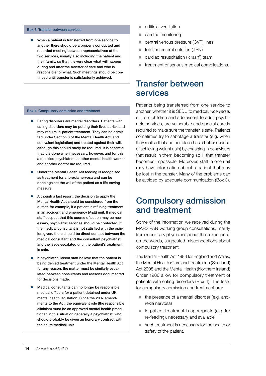#### Box 3 Transfer between services

When a patient is transferred from one service to another there should be a properly conducted and recorded meeting between representatives of the two services, usually also including the patient and their family, so that it is very clear what will happen during and after the transfer of care and who is responsible for what. Such meetings should be continued until transfer is satisfactorily achieved.

#### Box 4 Compulsory admission and treatment

- Eating disorders are mental disorders. Patients with eating disorders may be putting their lives at risk and may require in-patient treatment. They can be admitted under Section 3 of the Mental Health Act (and equivalent legislation) and treated against their will, although this should rarely be required. It is essential that it is done when necessary, however, and for this a qualified psychiatrist, another mental health worker and another doctor are required.
- $\bullet$  Under the Mental Health Act feeding is recognised as treatment for anorexia nervosa and can be done against the will of the patient as a life-saving measure.
- Although a last resort, the decision to apply the Mental Health Act should be considered from the outset, for example, if a patient is refusing treatment in an accident and emergency (A&E) unit. If medical staff suspect that this course of action may be necessary, psychiatric services should be contacted. If the medical consultant is not satisfied with the opinion given, there should be direct contact between the medical consultant and the consultant psychiatrist and the issue escalated until the patient's treatment is safe.
- $\bullet$  If psychiatric liaison staff believe that the patient is being denied treatment under the Mental Health Act for any reason, the matter must be similarly escalated between consultants and reasons documented for decisions made.
- Medical consultants can no longer be responsible medical officers for a patient detained under UK mental health legislation. Since the 2007 amendments to the Act, the equivalent role (the responsible clinician) must be an approved mental health practitioner, in this situation generally a psychiatrist, who should probably be given an honorary contract with the acute medical unit
- artificial ventilation
- $\bullet$  cardiac monitoring
- central venous pressure (CVP) lines
- $\bullet$  total parenteral nutrition (TPN)
- cardiac resuscitation ('crash') team
- treatment of serious medical complications.

#### Transfer between services

Patients being transferred from one service to another, whether it is SEDU to medical, *vice versa*, or from children and adolescent to adult psychiatric services, are vulnerable and special care is required to make sure the transfer is safe. Patients sometimes try to sabotage a transfer (e.g. when they realise that another place has a better chance of achieving weight gain) by engaging in behaviours that result in them becoming so ill that transfer becomes impossible. Moreover, staff in one unit may have information about a patient that may be lost in the transfer. Many of the problems can be avoided by adequate communication (Box 3).

#### Compulsory admission and treatment

Some of the information we received during the MARSIPAN working group consultations, mainly from reports by physicians about their experience on the wards, suggested misconceptions about compulsory treatment.

The Mental Health Act 1983 for England and Wales, the Mental Health (Care and Treatment) (Scotland) Act 2008 and the Mental Health (Northern Ireland) Order 1986 allow for compulsory treatment of patients with eating disorders (Box 4). The tests for compulsory admission and treatment are:

- $\bullet$  the presence of a mental disorder (e.g. anorexia nervosa)
- $\bullet$  in-patient treatment is appropriate (e.g. for re-feeding), necessary and available
- $\bullet$  such treatment is necessary for the health or safety of the patient.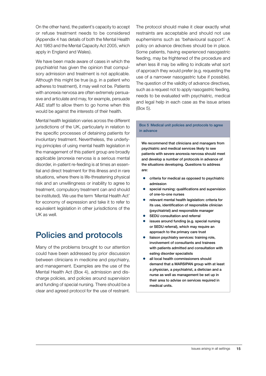On the other hand, the patient's capacity to accept or refuse treatment needs to be considered (Appendix 4 has details of both the Mental Health Act 1983 and the Mental Capacity Act 2005, which apply in England and Wales).

We have been made aware of cases in which the psychiatrist has given the opinion that compulsory admission and treatment is not applicable. Although this might be true (e.g. in a patient who adheres to treatment), it may well not be. Patients with anorexia nervosa are often extremely persuasive and articulate and may, for example, persuade A&E staff to allow them to go home when this would be against the interests of their health.

Mental health legislation varies across the different jurisdictions of the UK, particularly in relation to the specific processes of detaining patients for involuntary treatment. Nevertheless, the underlying principles of using mental health legislation in the management of this patient group are broadly applicable (anorexia nervosa is a serious mental disorder, in-patient re-feeding is at times an essential and direct treatment for this illness and in rare situations, where there is life-threatening physical risk and an unwillingness or inability to agree to treatment, compulsory treatment can and should be instituted). We use the term 'Mental Health Act' for economy of expression and take it to refer to equivalent legislation in other jurisdictions of the UK as well.

## Policies and protocols

Many of the problems brought to our attention could have been addressed by prior discussion between clinicians in medicine and psychiatry, and management. Examples are the use of the Mental Health Act (Box 4), admission and discharge policies, and policies around supervision and funding of special nursing. There should be a clear and agreed protocol for the use of restraint.

The protocol should make it clear exactly what restraints are acceptable and should not use euphemisms such as 'behavioural support'. A policy on advance directives should be in place. Some patients, having experienced nasogastric feeding, may be frightened of the procedure and when less ill may be willing to indicate what sort of approach they would prefer (e.g. requesting the use of a narrower nasogastric tube if possible). The question of the validity of advance directives, such as a request not to apply nasogastric feeding, needs to be evaluated with psychiatric, medical and legal help in each case as the issue arises (Box 5).

#### Box 5 Medical unit policies and protocols to agree in advance

We recommend that clinicians and managers from psychiatric and medical services likely to see patients with severe anorexia nervosa should meet and develop a number of protocols in advance of the situations developing. Questions to address are:

- $\bullet$  criteria for medical as opposed to psychiatric admission
- special nursing: qualifications and supervision of one-to-one nurses
- **•** relevant mental health legislation: criteria for its use, identification of responsible clinician (psychiatrist) and responsible manager
- SEDU consultation and referral
- issues around funding (e.g. special nursing or SEDU referral), which may require an approach to the primary care trust
- liaison psychiatry services: training role, involvement of consultants and trainees with patients admitted and consultation with eating disorder specialists
- all local health commissioners should demand that a MARSIPAN group with at least a physician, a psychiatrist, a dietician and a nurse as well as management be set up in their area to advise on services required in medical units.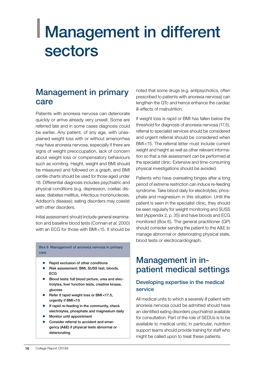## <span id="page-17-0"></span>| Management in different sectors

### Management in primary care

Patients with anorexia nervosa can deteriorate quickly or arrive already very unwell. Some are referred late and in some cases diagnosis could be earlier. Any patient, of any age, with unexplained weight loss with or without amenorrhea may have anorexia nervosa, especially if there are signs of weight preoccupation, lack of concern about weight loss or compensatory behaviours such as vomiting. Height, weight and BMI should be measured and followed on a graph, and BMI centile charts should be used for those aged under 18. Differential diagnosis includes psychiatric and physical conditions (e.g. depression, coeliac disease, diabetes mellitus, infectious mononucleosis, Addison's disease); eating disorders may coexist with other disorders.

Initial assessment should include general examination and baseline blood tests (Connan *et al*, 2000) with an ECG for those with BMI<15. It should be

Box 6 Management of anorexia nervosa in primary care

- Rapid exclusion of other conditions
- Risk assessment: BMI, SUSS test, bloods, ECG
- Blood tests: full blood picture, urea and electrolytes, liver function tests, creatine kinase, glucose
- Refer if rapid weight loss or BMI<17.5, urgently if BMI<15
- If rapid re-feeding in the community, check electrolytes, phosphate and magnesium daily
- Monitor until appointment
- Consider referral to accident and emergency (A&E) if physical tests abnormal or deteriorating

noted that some drugs (e.g. antipsychotics, often prescribed to patients with anorexia nervosa) can lengthen the QTc and hence enhance the cardiac ill-effects of malnutrition.

If weight loss is rapid or BMI has fallen below the threshold for diagnosis of anorexia nervosa (17.5), referral to specialist services should be considered and urgent referral should be considered when BMI<15. The referral letter must include current weight and height as well as other relevant information so that a risk assessment can be performed at the specialist clinic. Extensive and time-consuming physical investigations should be avoided.

Patients who have overeating binges after a long period of extreme restriction can induce re-feeding syndrome. Take blood daily for electrolytes, phosphate and magnesium in this situation. Until the patient is seen in the specialist clinic, they should be seen regularly for weight monitoring and SUSS test (Appendix 2, p. 35) and have bloods and ECG monitored (Box 6). The general practitioner (GP) should consider sending the patient to the A&E to manage abnormal or deteriorating physical state, blood tests or electrocardiograph.

### Management in inpatient medical settings

#### Developing expertise in the medical service

All medical units to which a severely ill patient with anorexia nervosa could be admitted should have an identified eating disorders psychiatrist available for consultation. Part of the role of SEDUs is to be available to medical units; in particular, nutrition support teams should provide training for staff who might be called upon to treat these patients.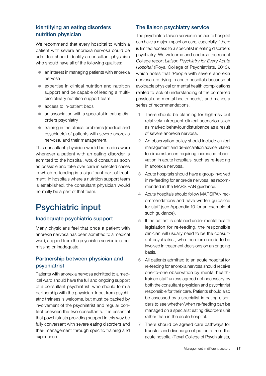#### Identifying an eating disorders nutrition physician

We recommend that every hospital to which a patient with severe anorexia nervosa could be admitted should identify a consultant physician who should have all of the following qualities:

- $\bullet$  an interest in managing patients with anorexia nervosa
- $\bullet$  expertise in clinical nutrition and nutrition support and be capable of leading a multidisciplinary nutrition support team
- access to in-patient beds
- $\bullet$  an association with a specialist in eating disorders psychiatry
- $\bullet$  training in the clinical problems (medical and psychiatric) of patients with severe anorexia nervosa, and their management.

This consultant physician would be made aware whenever a patient with an eating disorder is admitted to the hospital, would consult as soon as possible and take over care in selected cases in which re-feeding is a significant part of treatment. In hospitals where a nutrition support team is established, the consultant physician would normally be a part of that team.

## Psychiatric input

#### Inadequate psychiatric support

Many physicians feel that once a patient with anorexia nervosa has been admitted to a medical ward, support from the psychiatric service is either missing or inadequate.

#### Partnership between physician and psychiatrist

Patients with anorexia nervosa admitted to a medical ward should have the full and ongoing support of a consultant psychiatrist, who should form a partnership with the physician. Input from psychiatric trainees is welcome, but must be backed by involvement of the psychiatrist and regular contact between the two consultants. It is essential that psychiatrists providing support in this way be fully conversant with severe eating disorders and their management through specific training and experience.

#### The liaison psychiatry service

The psychiatric liaison service in an acute hospital can have a major impact on care, especially if there is limited access to a specialist in eating disorders psychiatry. We welcome and endorse the recent College report *Liaison Psychiatry for Every Acute Hospital* (Royal College of Psychiatrists, 2013), which notes that 'People with severe anorexia nervosa are dying in acute hospitals because of avoidable physical or mental health complications related to lack of understanding of the combined physical and mental health needs', and makes a series of recommendations.

- 1 There should be planning for high-risk but relatively infrequent clinical scenarios such as marked behaviour disturbance as a result of severe anorexia nervosa.
- 2 An observation policy should include clinical management and de-escalation advice related to circumstances requiring increased observation in acute hospitals, such as re-feeding in anorexia nervosa.
- 3 Acute hospitals should have a group involved in re-feeding for anorexia nervosa, as recommended in the MARSIPAN guidance.
- 4 Acute hospitals should follow MARSIPAN recommendations and have written guidance for staff (see Appendix 10 for an example of such guidance).
- 5 If the patient is detained under mental health legislation for re-feeding, the responsible clinician will usually need to be the consultant psychiatrist, who therefore needs to be involved in treatment decisions on an ongoing basis.
- 6 All patients admitted to an acute hospital for re-feeding for anorexia nervosa should receive one-to-one observation by mental healthtrained staff unless agreed not necessary by both the consultant physician and psychiatrist responsible for their care. Patients should also be assessed by a specialist in eating disorders to see whether/when re-feeding can be managed on a specialist eating disorders unit rather than in the acute hospital.
- 7 There should be agreed care pathways for transfer and discharge of patients from the acute hospital (Royal College of Psychiatrists,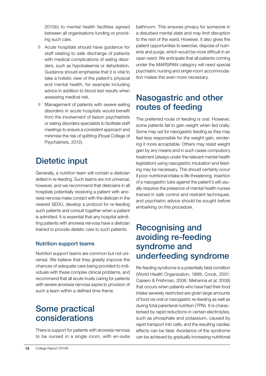2010*b*) to mental health facilities agreed between all organisations funding or providing such care.

- 8 Acute hospitals should have guidance for staff relating to safe discharge of patients with medical complications of eating disorders, such as hypokalaemia or dehydration. Guidance should emphasise that it is vital to take a holistic view of the patient's physical and mental health, for example including advice in addition to blood test results when assessing medical risk.
- 9 Management of patients with severe eating disorders in acute hospitals would benefit from the involvement of liaison psychiatrists or eating disorders specialists to facilitate staff meetings to ensure a consistent approach and minimise the risk of splitting (Royal College of Psychiatrists, 2013).

## Dietetic input

Generally, a nutrition team will contain a dietician skilled in re-feeding. Such teams are not universal, however, and we recommend that dieticians in all hospitals potentially receiving a patient with anorexia nervosa make contact with the dietician in the nearest SEDU, develop a protocol for re-feeding such patients and consult together when a patient is admitted. It is essential that any hospital admitting patients with anorexia nervosa have a dietician trained to provide dietetic care to such patients.

#### Nutrition support teams

Nutrition support teams are common but not universal. We believe that they greatly improve the chances of adequate care being provided to individuals with these complex clinical problems, and recommend that all acute trusts caring for patients with severe anorexia nervosa aspire to provision of such a team within a defined time frame.

## Some practical considerations

There is support for patients with anorexia nervosa to be nursed in a single room, with en-suite bathroom. This ensures privacy for someone in a disturbed mental state and may limit disruption to the rest of the ward. However, it also gives the patient opportunities to exercise, dispose of nutrients and purge, which would be more difficult in an open ward. We anticipate that all patients coming under the MARSIPAN category will need special psychiatric nursing and single-room accommodation makes this even more necessary.

### Nasogastric and other routes of feeding

The preferred route of feeding is oral. However, some patients fail to gain weight when fed orally. Some may opt for nasogastric feeding as they may feel less responsible for the weight gain, rendering it more acceptable. Others may resist weight gain by any means and in such cases compulsory treatment (always under the relevant mental health legislation) using nasogastric intubation and feeding may be necessary. This should certainly occur if poor nutritional intake is life threatening. Insertion of a nasogastric tube against the patient's will usually requires the presence of mental health nurses trained in safe control and restraint techniques, and psychiatric advice should be sought before embarking on this procedure.

## Recognising and avoiding re-feeding syndrome and underfeeding syndrome

Re-feeding syndrome is a potentially fatal condition (World Health Organization, 1999; Crook, 2001; Casiero & Frishman, 2006; Mehanna *et al*, 2008) that occurs when patients who have had their food intake severely restricted are given large amounts of food via oral or nasogastric re-feeding as well as during total parenteral nutrition (TPN). It is characterised by rapid reductions in certain electrolytes, such as phosphate and potassium, caused by rapid transport into cells, and the resulting cardiac effects can be fatal. Avoidance of the syndrome can be achieved by gradually increasing nutritional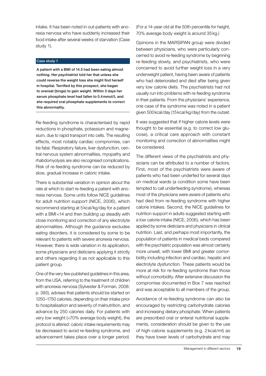intake. It has been noted in out-patients with anorexia nervosa who have suddenly increased their food intake after several weeks of starvation (Case study 1).

#### Case study 1

A patient with a BMI of 14.5 had been eating almost nothing. Her psychiatrist told her that unless she could reverse the weight loss she might find herself in hospital. Terrified by this prospect, she began to overeat (binge) to gain weight. Within 3 days her serum phosphate level had fallen to 0.4mmol/L and she required oral phosphate supplements to correct this abnormality.

Re-feeding syndrome is characterised by rapid reductions in phosphate, potassium and magnesium, due to rapid transport into cells. The resulting effects, most notably cardiac compromise, can be fatal. Respiratory failure, liver dysfunction, central nervous system abnormalities, myopathy and rhabdomyolysis are also recognised complications. Risk of re-feeding syndrome can be reduced by slow, gradual increase in caloric intake.

There is substantial variation in opinion about the rate at which to start re-feeding a patient with anorexia nervosa. Some units follow NICE guidelines for adult nutrition support (NICE, 2006), which recommend starting at 5kcal/kg/day for a patient with a BMI<14 and then building up steadily with close monitoring and correction of any electrolyte abnormalities. Although the guidance excludes eating disorders, it is considered by some to be relevant to patients with severe anorexia nervosa. However, there is wide variation in its application, some physicians and dieticians applying it strictly and others regarding it as not applicable to this patient group.

One of the very few published guidelines in this area, from the USA, referring to the treatment of children with anorexia nervosa (Sylvester & Forman, 2008: p. 393), advises that patients should be started on 1250–1750 calories, depending on their intake prior to hospitalisation and severity of malnutrition, and advance by 250 calories daily. For patients with very low weight (<70% average body weight), the protocol is altered: caloric intake requirements may be decreased to avoid re-feeding syndrome, and advancement takes place over a longer period.

(For a 14-year-old at the 50th percentile for height, 70% average body weight is around 35kg.)

Opinions in the MARSIPAN group were divided between physicians, who were particularly concerned to avoid re-feeding syndrome by beginning re-feeding slowly, and psychiatrists, who were concerned to avoid further weight loss in a very underweight patient, having been aware of patients who had deteriorated and died after being given very low calorie diets. The psychiatrists had not usually run into problems with re-feeding syndrome in their patients. From the physicians' experience, one case of the syndrome was noted in a patient given 500kcal/day (15kcal/kg/day) from the outset.

It was suggested that if higher calorie levels were thought to be essential (e.g. to correct low glucose), a critical care approach with constant monitoring and correction of abnormalities might be considered.

The different views of the psychiatrists and physicians can be attributed to a number of factors. First, most of the psychiatrists were aware of patients who had been underfed for several days on medical wards (a condition some have been tempted to call underfeeding syndrome), whereas most of the physicians were aware of patients who had died from re-feeding syndrome with higher calorie intakes. Second, the NICE guidelines for nutrition support in adults suggested starting with a low calorie intake (NICE, 2006), which has been applied by some dieticians and physicians in clinical nutrition. Last, and perhaps most importantly, the population of patients in medical beds compared with the psychiatric population was almost certainly more unwell, with lower BMI and greater comorbidity including infection and cardiac, hepatic and electrolyte dysfunction. These patients would be more at risk for re-feeding syndrome than those without comorbidity. After extensive discussion the compromise documented in Box 7 was reached and was acceptable to all members of the group.

Avoidance of re-feeding syndrome can also be encouraged by restricting carbohydrate calories and increasing dietary phosphate. When patients are prescribed oral or enteral nutritional supplements, consideration should be given to the use of high-calorie supplements (e.g. 2 kcal/ml) as they have lower levels of carbohydrate and may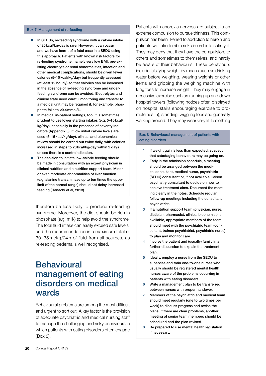#### Box 7 Management of re-feeding

- In SEDUs, re-feeding syndrome with a calorie intake of 20kcal/kg/day is rare. However, it can occur and we have learnt of a fatal case in a SEDU using this approach. Patients with known risk factors for re-feeding syndrome, namely very low BMI, pre-existing electrolyte or renal abnormalities, infection and other medical complications, should be given fewer calories (5–10kcal/kg/day) but frequently assessed (at least 12 hourly) so that calories can be increased in the absence of re-feeding syndrome and underfeeding syndrome can be avoided. Electrolytes and clinical state need careful monitoring and transfer to a medical unit may be required if, for example, phosphate falls to <0.4mmol/L.
- In medical in-patient settings, too, it is sometimes prudent to use lower starting intakes (e.g. 5–10kcal/ kg/day), especially in the presence of severity indicators (Appendix 5). If low initial calorie levels are used (5–15kcal/kg/day), clinical and biochemical review should be carried out twice daily, with calories increased in steps to 20kcal/kg/day within 2 days unless there is a contraindication.
- The decision to initiate low-calorie feeding should be made in consultation with an expert physician in clinical nutrition and a nutrition support team. Minor or even moderate abnormalities of liver function (e.g. alanine transaminase up to ten times the upper limit of the normal range) should not delay increased feeding (Hanachi et al, 2013).

therefore be less likely to produce re-feeding syndrome. Moreover, the diet should be rich in phosphate (e.g. milk) to help avoid the syndrome. The total fluid intake can easily exceed safe levels, and the recommendation is a maximum total of 30–35 ml/kg/24 h of fluid from all sources, as re-feeding oedema is well recognised.

### **Behavioural** management of eating disorders on medical wards

Behavioural problems are among the most difficult and urgent to sort out. A key factor is the provision of adequate psychiatric and medical nursing staff to manage the challenging and risky behaviours in which patients with eating disorders often engage (Box 8).

Patients with anorexia nervosa are subject to an extreme compulsion to pursue thinness. This compulsion has been likened to addiction to heroin and patients will take terrible risks in order to satisfy it. They may deny that they have the compulsion, to others and sometimes to themselves, and hardly be aware of their behaviours. These behaviours include falsifying weight by means such as drinking water before weighing, wearing weights or other items and gripping the weighing machine with long toes to increase weight. They may engage in obsessive exercise such as running up and down hospital towers (following notices often displayed on hospital stairs encouraging exercise to promote health), standing, wiggling toes and generally walking around. They may wear very little clothing

#### Box 8 Behavioural management of patients with eating disorders

- 1 If weight gain is less than expected, suspect that sabotaging behaviours may be going on.
- 2 Early in the admission schedule, a meeting should be arranged between the medical consultant, medical nurse, psychiatric (SEDU) consultant or, if not available, liaison psychiatry consultant to decide on how to achieve treatment aims. Document the meeting clearly in the notes. Schedule regular follow-up meetings including the consultant psychiatrist.
- 3 If a nutrition support team (physician, nurse, dietician, pharmacist, clinical biochemist) is available, appropriate members of the team should meet with the psychiatric team (consultant, trainee psychiatrist, psychiatric nurse) to plan and monitor care.
- 4 Involve the patient and (usually) family in a further discussion to explain the treatment plan.
- 5 Ideally, employ a nurse from the SEDU to supervise and train one-to-one nurses who usually should be registered mental health nurses aware of the problems occurring in patients with eating disorders.
- 6 Write a management plan to be transferred between nurses with proper handover.
- 7 Members of the psychiatric and medical team should meet regularly (one to two times per week) to discuss progress and revise the plans. If there are clear problems, another meeting of senior team members should be scheduled and the plan revised.
- 8 Be prepared to use mental health legislation if necessary.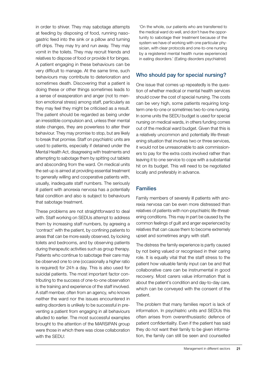in order to shiver. They may sabotage attempts at feeding by disposing of food, running nasogastric feed into the sink or a pillow and turning off drips. They may try and run away. They may vomit in the toilets. They may recruit friends and relatives to dispose of food or provide it for binges. A patient engaging in these behaviours can be very difficult to manage. At the same time, such behaviours may contribute to deterioration and sometimes death. Discovering that a patient is doing these or other things sometimes leads to a sense of exasperation and anger (not to mention emotional stress) among staff, particularly as they may feel they might be criticised as a result. The patient should be regarded as being under an irresistible compulsion and, unless their mental state changes, they are powerless to alter their behaviour. They may promise to stop, but are likely to break that promise. Staff on psychiatric units are used to patients, especially if detained under the Mental Health Act, disagreeing with treatments and attempting to sabotage them by spitting out tablets and absconding from the ward. On medical units the set-up is aimed at providing essential treatment to generally willing and cooperative patients with, usually, inadequate staff numbers. The seriously ill patient with anorexia nervosa has a potentially fatal condition and also is subject to behaviours that sabotage treatment.

These problems are not straightforward to deal with. Staff working on SEDUs attempt to address them by increasing staff numbers, by agreeing a 'contract' with the patient, by confining patients to areas that can be more easily observed, by locking toilets and bedrooms, and by observing patients during therapeutic activities such as group therapy. Patients who continue to sabotage their care may be observed one to one (occasionally a higher ratio is required) for 24h a day. This is also used for suicidal patients. The most important factor contributing to the success of one-to-one observation is the training and experience of the staff involved. A staff member, often from an agency, who knows neither the ward nor the issues encountered in eating disorders is unlikely to be successful in preventing a patient from engaging in all behaviours alluded to earlier. The most successful examples brought to the attention of the MARSIPAN group were those in which there was close collaboration with the SEDU:

'On the whole, our patients who are transferred to the medical ward do well, and don't have the opportunity to sabotage their treatment because of the system we have of working with one particular physician, with clear protocols and one-to-one nursing by a registered mental health nurse experienced in eating disorders.' (Eating disorders psychiatrist)

#### Who should pay for special nursing?

One issue that comes up repeatedly is the question of whether medical or mental health services should cover the cost of special nursing. The costs can be very high, some patients requiring longterm one-to-one or sometimes two-to-one nursing. In some units the SEDU budget is used for special nursing on medical wards, in others funding comes out of the medical ward budget. Given that this is a relatively uncommon and potentially life-threatening situation that involves two or three services, it would not be unreasonable to ask commissioners to pay for the extra costs involved rather than leaving it to one service to cope with a substantial hit on its budget. This will need to be negotiated locally and preferably in advance.

#### Families

Family members of severely ill patients with anorexia nervosa can be even more distressed than relatives of patients with non-psychiatric life-threatening conditions. This may in part be caused by the common feelings of guilt and anger experienced by relatives that can cause them to become extremely upset and sometimes angry with staff.

The distress the family experience is partly caused by not being valued or recognised in their caring role. It is equally vital that the staff stress to the patient how valuable family input can be and that collaborative care can be instrumental in good recovery. Most carers value information that is about the patient's condition and day-to-day care, which can be conveyed with the consent of the patient.

The problem that many families report is lack of information. In psychiatric units and SEDUs this often arises from overenthusiastic defence of patient confidentiality. Even if the patient has said they do not want their family to be given information, the family can still be seen and counselled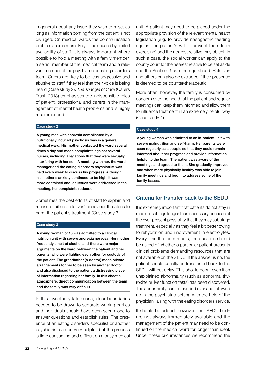in general about any issue they wish to raise, as long as information coming from the patient is not divulged. On medical wards the communication problem seems more likely to be caused by limited availability of staff. It is always important where possible to hold a meeting with a family member, a senior member of the medical team and a relevant member of the psychiatric or eating disorders team. Carers are likely to be less aggressive and abusive to staff if they feel that their voice is being heard (Case study 2). *The Triangle of Care* (Carers Trust, 2013) emphasises the indispensible roles of patient, professional and carers in the management of mental health problems and is highly recommended.

#### Case study 2

A young man with anorexia complicated by a nutritionally induced psychosis was in a general medical ward. His mother contacted the ward several times a day and made complaints against several nurses, including allegations that they were sexually interfering with her son. A meeting with her, the ward manager and the eating disorders psychiatrist was held every week to discuss his progress. Although his mother's anxiety continued to be high, it was more contained and, as issues were addressed in the meeting, her complaints reduced.

Sometimes the best efforts of staff to explain and reassure fail and relatives' behaviour threatens to harm the patient's treatment (Case study 3).

#### Case study 3

A young woman of 18 was admitted to a clinical nutrition unit with severe anorexia nervosa. Her mother frequently smelt of alcohol and there were major arguments on the ward between the patient and her parents, who were fighting each other for custody of the patient. The grandfather (a doctor) made private arrangements for her to be seen by another doctor and also disclosed to the patient a distressing piece of information regarding her family. In this chaotic atmosphere, direct communication between the team and the family was very difficult.

In this (eventually fatal) case, clear boundaries needed to be drawn to separate warring parties and individuals should have been seen alone to answer questions and establish rules. The presence of an eating disorders specialist or another psychiatrist can be very helpful, but the process is time consuming and difficult on a busy medical

unit. A patient may need to be placed under the appropriate provision of the relevant mental health legislation (e.g. to provide nasogastric feeding against the patient's will or prevent them from exercising) and the nearest relative may object. In such a case, the social worker can apply to the county court for the nearest relative to be set aside and the Section 3 can then go ahead. Relatives and others can also be excluded if their presence is deemed to be counter-therapeutic.

More often, however, the family is consumed by concern over the health of the patient and regular meetings can keep them informed and allow them to influence treatment in an extremely helpful way (Case study 4).

#### Case study 4

A young woman was admitted to an in-patient unit with severe malnutrition and self-harm. Her parents were seen regularly as a couple so that they could remain informed about her progress and provide information helpful to the team. The patient was aware of the meetings and agreed to them. She gradually improved and when more physically healthy was able to join family meetings and begin to address some of the family issues.

#### Criteria for transfer back to the SEDU

It is extremely important that patients do not stay in medical settings longer than necessary because of the ever-present possibility that they may sabotage treatment, especially as they feel a bit better owing to rehydration and improvement in electrolytes. Every time the team meets, the question should be asked of whether a particular patient presents clinical problems demanding resources that are not available on the SEDU. If the answer is no, the patient should usually be transferred back to the SEDU without delay. This should occur even if an unexplained abnormality (such as abnormal thyroxine or liver function tests) has been discovered. The abnormality can be handed over and followed up in the psychiatric setting with the help of the physician liaising with the eating disorders service.

It should be added, however, that SEDU beds are not always immediately available and the management of the patient may need to be continued on the medical ward for longer than ideal. Under these circumstances we recommend the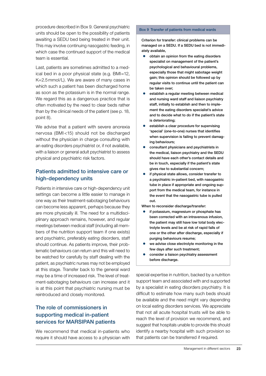procedure described in Box 9. General psychiatric units should be open to the possibility of patients awaiting a SEDU bed being treated in their unit. This may involve continuing nasogastric feeding, in which case the continued support of the medical team is essential.

Last, patients are sometimes admitted to a medical bed in a poor physical state (e.g. BMI=12, K=2.5mmol/L). We are aware of many cases in which such a patient has been discharged home as soon as the potassium is in the normal range. We regard this as a dangerous practice that is often motivated by the need to clear beds rather than by the clinical needs of the patient (see p. 18, point 8).

We advise that a patient with severe anorexia nervosa (BMI <15) should not be discharged without the physician in charge consulting with an eating disorders psychiatrist or, if not available, with a liaison or general adult psychiatrist to assess physical and psychiatric risk factors.

#### Patients admitted to intensive care or high-dependency units

Patients in intensive care or high-dependency unit settings can become a little easier to manage in one way as their treatment-sabotaging behaviours can become less apparent, perhaps because they are more physically ill. The need for a multidisciplinary approach remains, however, and regular meetings between medical staff (including all members of the nutrition support team if one exists) and psychiatric, preferably eating disorders, staff should continue. As patients improve, their problematic behaviours can return and this will need to be watched for carefully by staff dealing with the patient, as psychiatric nurses may not be employed at this stage. Transfer back to the general ward may be a time of increased risk. The level of treatment-sabotaging behaviours can increase and it is at this point that psychiatric nursing must be reintroduced and closely monitored.

#### The role of commissioners in supporting medical in-patient services for MARSIPAN patients

We recommend that medical in-patients who require it should have access to a physician with

#### Box 9 Transfer of patients from medical wards

Criterion for transfer: clinical problems can be managed on a SEDU. If a SEDU bed is not immediately available,

- $\bullet$  obtain an opinion from the eating disorders specialist on management of the patient's psychological and behavioural problems, especially those that might sabotage weight gain; this opinion should be followed up by regular visits to continue until the patient can be taken over;
- establish a regular meeting between medical and nursing ward staff and liaison psychiatry staff, initially to establish and then to implement the eating disorders specialist's advice and to decide what to do if the patient's state is deteriorating;
- establish a clear procedure for supervising 'special' (one-to-one) nurses that identifies when supervision is failing to prevent damaging behaviours;
- consultant physicians and psychiatrists in the medical, liaison psychiatry and the SEDU should have each other's contact details and be in touch, especially if the patient's state gives rise to substantial concern;
- if physical state allows, consider transfer to a psychiatric in-patient bed, with nasogastric tube in place if appropriate and ongoing support from the medical team, for instance in the event that the nasogastric tube is pulled out.

When to reconsider discharge/transfer:

- if potassium, magnesium or phosphate has been corrected with an intravenous infusion, the patient may still have low total body electrolyte levels and be at risk of rapid falls of one or the other after discharge, especially if purging behaviours resume;
- we advise close electrolyte monitoring in the few days after such treatment;
- consider a liaison psychiatry assessment before discharge.

special expertise in nutrition, backed by a nutrition support team and associated with and supported by a specialist in eating disorders psychiatry. It is difficult to estimate how many such beds should be available and the need might vary depending on local eating disorders services. We appreciate that not all acute hospital trusts will be able to reach the level of provision we recommend, and suggest that hospitals unable to provide this should identify a nearby hospital with such provision so that patients can be transferred if required.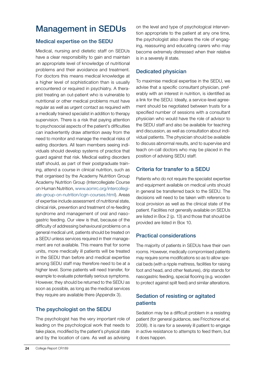## Management in SEDUs

#### Medical expertise on the SEDU

Medical, nursing and dietetic staff on SEDUs have a clear responsibility to gain and maintain an appropriate level of knowledge of nutritional problems and their avoidance and treatment. For doctors this means medical knowledge at a higher level of sophistication than is usually encountered or required in psychiatry. A therapist treating an out-patient who is vulnerable to nutritional or other medical problems must have regular as well as urgent contact as required with a medically trained specialist in addition to therapy supervision. There is a risk that paying attention to psychosocial aspects of the patient's difficulties can inadvertently draw attention away from the need to monitor and manage the medical risks of eating disorders. All team members seeing individuals should develop systems of practice that guard against that risk. Medical eating disorders staff should, as part of their postgraduate training, attend a course in clinical nutrition, such as that organised by the Academy Nutrition Group Academy Nutrition Group (Intercollegiate Course on Human Nutrition, www.aomrc.org/intercollegiate-group-on-nutrition/icgn-courses.html). Areas of expertise include assessment of nutritional state, clinical risk, prevention and treatment of re-feeding syndrome and management of oral and nasogastric feeding. Our view is that, because of the difficulty of addressing behavioural problems on a general medical unit, patients should be treated on a SEDU unless services required in their management are not available. This means that for some units, more medically ill patients will be treated in the SEDU than before and medical expertise among SEDU staff may therefore need to be at a higher level. Some patients will need transfer, for example to evaluate potentially serious symptoms. However, they should be returned to the SEDU as soon as possible, as long as the medical services they require are available there (Appendix 3).

#### The psychologist on the SEDU

The psychologist has the very important role of leading on the psychological work that needs to take place, modified by the patient's physical state and by the location of care. As well as advising

on the level and type of psychological intervention appropriate to the patient at any one time, the psychologist also shares the role of engaging, reassuring and educating carers who may become extremely distressed when their relative is in a severely ill state.

#### Dedicated physician

To maximise medical expertise in the SEDU, we advise that a specific consultant physician, preferably with an interest in nutrition, is identified as a link for the SEDU. Ideally, a service-level agreement should be negotiated between trusts for a specified number of sessions with a consultant physician who would have the role of advisor to the SEDU staff and also be available for teaching and discussion, as well as consultation about individual patients. The physician should be available to discuss abnormal results, and to supervise and teach on-call doctors who may be placed in the position of advising SEDU staff.

#### Criteria for transfer to a SEDU

Patients who do not require the specialist expertise and equipment available on medical units should in general be transferred back to the SEDU. The decisions will need to be taken with reference to local provision as well as the clinical state of the patient. Facilities not generally available on SEDUs are listed in Box 2 (p. 13) and those that should be provided are listed in Box 10.

#### Practical considerations

The majority of patients in SEDUs have their own rooms. However, medically compromised patients may require some modifications so as to allow special beds (with a ripple mattress, facilities for raising foot and head, and other features), drip stands for nasogastric feeding, special flooring (e.g. wooden to protect against spilt feed) and similar alterations.

#### Sedation of resisting or agitated patients

Sedation may be a difficult problem in a resisting patient (for general guidance, see Fricchione *et al*, 2008). It is rare for a severely ill patient to engage in active resistance to attempts to feed them, but it does happen.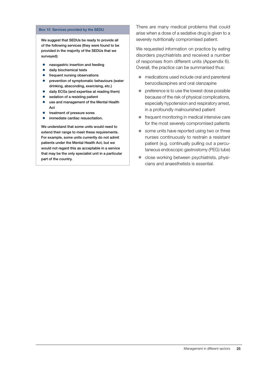#### Box 10 Services provided by the SEDU

We suggest that SEDUs be ready to provide all of the following services (they were found to be provided in the majority of the SEDUs that we surveyed):

- **•** nasogastric insertion and feeding
- daily biochemical tests
- frequent nursing observations
- $\bullet$  prevention of symptomatic behaviours (water drinking, absconding, exercising, etc.)
- daily ECGs (and expertise at reading them)
- sedation of a resisting patient
- use and management of the Mental Health Act
- treatment of pressure sores
- immediate cardiac resuscitation.

We understand that some units would need to extend their range to meet these requirements. For example, some units currently do not admit patients under the Mental Health Act, but we would not regard this as acceptable in a service that may be the only specialist unit in a particular part of the country.

There are many medical problems that could arise when a dose of a sedative drug is given to a severely nutritionally compromised patient.

We requested information on practice by eating disorders psychiatrists and received a number of responses from different units (Appendix 6). Overall, the practice can be summarised thus:

- $\bullet$  medications used include oral and parenteral benzodiazepines and oral olanzapine
- $\bullet$  preference is to use the lowest dose possible because of the risk of physical complications, especially hypotension and respiratory arrest, in a profoundly malnourished patient
- $\bullet$  frequent monitoring in medical intensive care for the most severely compromised patients
- $\bullet$  some units have reported using two or three nurses continuously to restrain a resistant patient (e.g. continually pulling out a percutaneous endoscopic gastrostomy (PEG) tube)
- close working between psychiatrists, physicians and anaesthetists is essential.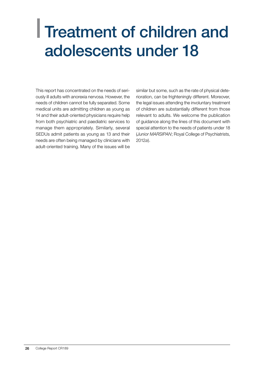## <span id="page-27-0"></span>| Treatment of children and adolescents under 18

This report has concentrated on the needs of seriously ill adults with anorexia nervosa. However, the needs of children cannot be fully separated. Some medical units are admitting children as young as 14 and their adult-oriented physicians require help from both psychiatric and paediatric services to manage them appropriately. Similarly, several SEDUs admit patients as young as 13 and their needs are often being managed by clinicians with adult-oriented training. Many of the issues will be

similar but some, such as the rate of physical deterioration, can be frighteningly different. Moreover, the legal issues attending the involuntary treatment of children are substantially different from those relevant to adults. We welcome the publication of guidance along the lines of this document with special attention to the needs of patients under 18 (*Junior MARSIPAN*; Royal College of Psychiatrists, 2012*a*).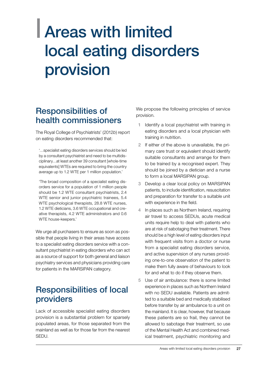## <span id="page-28-0"></span>| Areas with limited local eating disorders provision

## Responsibilities of health commissioners

The Royal College of Psychiatrists' (2012*b*) report on eating disorders recommended that:

'…specialist eating disorders services should be led by a consultant psychiatrist and need to be multidisciplinary…at least another 39 consultant [whole-time equivalents] WTEs are required to bring the country average up to 1.2 WTE per 1 million population.'

'The broad composition of a specialist eating disorders service for a population of 1 million people should be 1.2 WTE consultant psychiatrists, 2.4 WTE senior and junior psychiatric trainees, 5.4 WTE psychological therapists, 28.8 WTE nurses, 1.2 WTE dieticians, 3.6 WTE occupational and creative therapists, 4.2 WTE administrators and 0.6 WTE house-keepers.'

We urge all purchasers to ensure as soon as possible that people living in their areas have access to a specialist eating disorders service with a consultant psychiatrist in eating disorders who can act as a source of support for both general and liaison psychiatry services and physicians providing care for patients in the MARSIPAN category.

## Responsibilities of local providers

Lack of accessible specialist eating disorders provision is a substantial problem for sparsely populated areas, for those separated from the mainland as well as for those far from the nearest SEDU.

We propose the following principles of service provision.

- 1 Identify a local psychiatrist with training in eating disorders and a local physician with training in nutrition.
- 2 If either of the above is unavailable, the primary care trust or equivalent should identify suitable consultants and arrange for them to be trained by a recognised expert. They should be joined by a dietician and a nurse to form a local MARSIPAN group.
- 3 Develop a clear local policy on MARSIPAN patients, to include identification, resuscitation and preparation for transfer to a suitable unit with experience in the field.
- In places such as Northern Ireland, requiring air travel to access SEDUs, acute medical units require help to deal with patients who are at risk of sabotaging their treatment. There should be a high level of eating disorders input with frequent visits from a doctor or nurse from a specialist eating disorders service, and active supervision of any nurses providing one-to-one observation of the patient to make them fully aware of behaviours to look for and what to do if they observe them.
- 5 Use of air ambulance: there is some limited experience in places such as Northern Ireland with no SEDU available. Patients are admitted to a suitable bed and medically stabilised before transfer by air ambulance to a unit on the mainland. It is clear, however, that because these patients are so frail, they cannot be allowed to sabotage their treatment, so use of the Mental Health Act and combined medical treatment, psychiatric monitoring and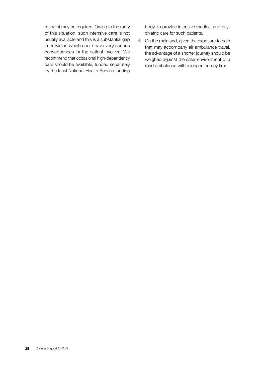restraint may be required. Owing to the rarity of this situation, such intensive care is not usually available and this is a substantial gap in provision which could have very serious consequences for the patient involved. We recommend that occasional high-dependency care should be available, funded separately by the local National Health Service funding

body, to provide intensive medical and psychiatric care for such patients.

6 On the mainland, given the exposure to cold that may accompany air ambulance travel, the advantage of a shorter journey should be weighed against the safer environment of a road ambulance with a longer journey time.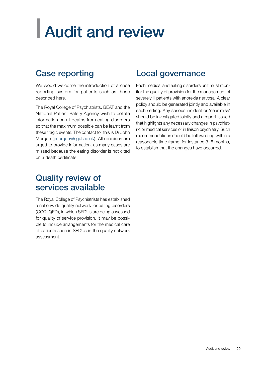# <span id="page-30-0"></span>| Audit and review

## Case reporting

We would welcome the introduction of a case reporting system for patients such as those described here.

The Royal College of Psychiatrists, BEAT and the National Patient Safety Agency wish to collate information on all deaths from eating disorders so that the maximum possible can be learnt from these tragic events. The contact for this is Dr John Morgan (jmorgan@sgul.ac.uk). All clinicians are urged to provide information, as many cases are missed because the eating disorder is not cited on a death certificate.

## Local governance

Each medical and eating disorders unit must monitor the quality of provision for the management of severely ill patients with anorexia nervosa. A clear policy should be generated jointly and available in each setting. Any serious incident or 'near miss' should be investigated jointly and a report issued that highlights any necessary changes in psychiatric or medical services or in liaison psychiatry. Such recommendations should be followed up within a reasonable time frame, for instance 3–6 months, to establish that the changes have occurred.

## Quality review of services available

The Royal College of Psychiatrists has established a nationwide quality network for eating disorders (CCQI QED), in which SEDUs are being assessed for quality of service provision. It may be possible to include arrangements for the medical care of patients seen in SEDUs in the quality network assessment.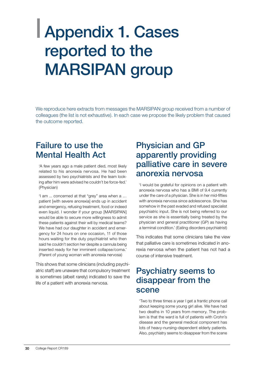## <span id="page-31-0"></span>| Appendix 1. Cases reported to the MARSIPAN group

We reproduce here extracts from messages the MARSIPAN group received from a number of colleagues (the list is not exhaustive). In each case we propose the likely problem that caused the outcome reported.

### Failure to use the Mental Health Act

'A few years ago a male patient died, most likely related to his anorexia nervosa. He had been assessed by two psychiatrists and the team looking after him were advised he couldn't be force-fed.' (Physician)

'I am ... concerned at that "grey" area when a … patient [with severe anorexia] ends up in accident and emergency, refusing treatment, food or indeed even liquid. I wonder if your group [MARSIPAN] would be able to secure more willingness to admit these patients against their will by medical teams? We have had our daughter in accident and emergency for 24 hours on one occasion, 11 of those hours waiting for the duty psychiatrist who then said he couldn't section her despite a cannula being inserted ready for her imminent collapse/coma.' (Parent of young woman with anorexia nervosa)

This shows that some clinicians (including psychiatric staff) are unaware that compulsory treatment is sometimes (albeit rarely) indicated to save the life of a patient with anorexia nervosa.

### Physician and GP apparently providing palliative care in severe anorexia nervosa

'I would be grateful for opinions on a patient with anorexia nervosa who has a BMI of 9.4 currently under the care of a physician. She is in her mid-fifties with anorexia nervosa since adolescence. She has somehow in the past evaded and refused specialist psychiatric input. She is not being referred to our service as she is essentially being treated by the physician and general practitioner (GP) as having a terminal condition.' (Eating disorders psychiatrist)

This indicates that some clinicians take the view that palliative care is sometimes indicated in anorexia nervosa when the patient has not had a course of intensive treatment.

### Psychiatry seems to disappear from the scene

'Two to three times a year I get a frantic phone call about keeping some young girl alive. We have had two deaths in 10 years from memory. The problem is that the ward is full of patients with Crohn's disease and the general medical component has lots of heavy-nursing-dependent elderly patients. Also, psychiatry seems to disappear from the scene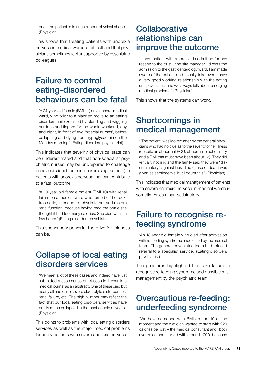once the patient is in such a poor physical shape.' (Physician)

This shows that treating patients with anorexia nervosa in medical wards is difficult and that physicians sometimes feel unsupported by psychiatric colleagues.

## Failure to control eating-disordered behaviours can be fatal

'A 24-year-old female (BMI 11) on a general medical ward, who prior to a planned move to an eating disorders unit exercised by standing and wiggling her toes and fingers for the whole weekend, day and night, in front of two 'special nurses', before collapsing and dying from hypoglycaemia on the Monday morning.' (Eating disorders psychiatrist)

This indicates that severity of physical state can be underestimated and that non-specialist psychiatric nurses may be unprepared to challenge behaviours (such as micro-exercising, as here) in patients with anorexia nervosa that can contribute to a fatal outcome.

'A 19-year-old female patient (BMI 10) with renal failure on a medical ward who turned off her dextrose drip, intended to rehydrate her and restore renal function, because having read the bottle she thought it had too many calories. She died within a few hours.' (Eating disorders psychiatrist)

This shows how powerful the drive for thinness can be.

## Collapse of local eating disorders services

'We meet a lot of these cases and indeed have just submitted a case series of 14 seen in 1 year to a medical journal as an abstract. One of these died but nearly all had quite severe electrolyte disturbances, renal failure, etc. The high number may reflect the fact that our local eating disorders services have pretty much collapsed in the past couple of years.' (Physician)

This points to problems with local eating disorders services as well as the major medical problems faced by patients with severe anorexia nervosa.

### Collaborative relationships can improve the outcome

'If any [patient with anorexia] is admitted for any reason to the trust…the site manager…directs the admission to the gastroenterology ward. I am made aware of the patient and usually take over. I have a very good working relationship with the eating unit psychiatrist and we always talk about emerging medical problems.' (Physician)

This shows that the systems can work.

## Shortcomings in medical management

'[The patient] was looked after by the general physicians who had no clue as to the severity of her illness (despite an abnormal ECG, abnormal biochemistry and a BMI that must have been about 12). They did virtually nothing and the family said they were "discriminatory" against her…The cause of death was given as septicaemia but I doubt this.' (Physician)

This indicates that medical management of patients with severe anorexia nervosa in medical wards is sometimes less than satisfactory.

## Failure to recognise refeeding syndrome

'An 18-year-old female who died after admission with re-feeding syndrome undetected by the medical team. The general psychiatric team had refused referral to a specialist service.' (Eating disorders psychiatrist)

The problems highlighted here are failure to recognise re-feeding syndrome and possible mismanagement by the psychiatric team.

## Overcautious re-feeding: underfeeding syndrome

'We have someone with BMI around 10 at the moment and the dietician wanted to start with 220 calories per day – the medical consultant and I both over-ruled and started with around 1000, because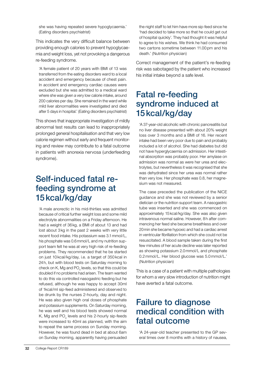she was having repeated severe hypoglycaemia.' (Eating disorders psychiatrist)

This indicates the very difficult balance between providing enough calories to prevent hypoglycaemia and weight loss, yet not provoking a dangerous re-feeding syndrome.

'A female patient of 20 years with BMI of 13 was transferred from the eating disorders ward to a local accident and emergency because of chest pain. In accident and emergency cardiac causes were excluded but she was admitted to a medical ward where she was given a very low calorie intake, around 200 calories per day. She remained in the ward while mild liver abnormalities were investigated and died after 5 days in hospital.' (Eating disorders psychiatrist)

This shows that inappropriate investigation of mildly abnormal test results can lead to inappropriately prolonged general hospitalisation and that very low calorie regimen without early and frequent monitoring and review may contribute to a fatal outcome in patients with anorexia nervosa (underfeeding syndrome).

## Self-induced fatal refeeding syndrome at 15kcal/kg/day

'A male anorectic in his mid-thirties was admitted because of critical further weight loss and some mild electrolyte abnormalities on a Friday afternoon. He had a weight of 36kg, a BMI of about 13 and had lost about 3kg in the past 2 weeks with very little recent food intake. His potassium was 3.1mmol/L, his phosphate was 0.6mmol/L and my nutrition support team felt he was at very high risk of re-feeding problems. They recommended that he be started on just 10kcal/kg/day, i.e. a target of 350kcal in 24h, but with blood tests on Saturday morning to check on K, Mg and PO $_{\scriptscriptstyle 4}$  levels, so that this could be doubled if no problems had arisen. The team wanted to do this via controlled nasogastric feeding but he refused, although he was happy to accept 30ml of 1kcal/ml sip-feed administered and observed to be drunk by the nurses 2-hourly, day and night. He was also given high oral doses of phosphate and potassium supplements. On Saturday morning, he was well and his blood tests showed normal K, Mg and  $PO_4$  levels and his 2-hourly sip-feeds were increased to 40ml as planned, with the aim to repeat the same process on Sunday morning. However, he was found dead in bed at about 6am on Sunday morning, apparently having persuaded

the night staff to let him have more sip-feed since he 'had decided to take more so that he could get out of hospital quickly'. They had thought it was helpful to agree to his wishes. We think he had consumed two cartons sometime between 11.00pm and his death.' (Nutrition physician)

Correct management of the patient's re-feeding risk was sabotaged by the patient who increased his initial intake beyond a safe level.

## Fatal re-feeding syndrome induced at 15kcal/kg/day

'A 37-year-old alcoholic with chronic pancreatitis but no liver disease presented with about 20% weight loss over 3 months and a BMI of 16. Her recent intake had been very poor due to pain and probably included a lot of alcohol. She had diabetes but did not have hyperglycaemia on admission. Her intestinal absorption was probably poor. Her amylase on admission was normal as were her urea and electrolytes, but nevertheless it was recognised that she was dehydrated since her urea was normal rather than very low. Her phosphate was 0.8, her magnesium was not measured.

The case preceded the publication of the NICE guidance and she was not reviewed by a senior dietician or the nutrition support team. A nasogastric tube was inserted and she was commenced on approximately 15kcal/kg/day. She was also given intravenous normal saline. However, 8h after commencing her feed she became breathless and over 20min she became hypoxic and had a cardiac arrest in ventricular fibrillation from which she could not be resuscitated. A blood sample taken during the first few minutes of her acute decline was later reported as showing potassium 2.0mmol/L and phosphate 0.2mmol/L. Her blood glucose was 5.0mmol/L.' (Nutrition physician)

This is a case of a patient with multiple pathologies for whom a very slow introduction of nutrition might have averted a fatal outcome.

## Failure to diagnose medical condition with fatal outcome

'A 24-year-old teacher presented to the GP several times over 8 months with a history of nausea,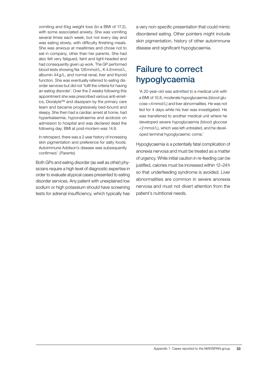vomiting and 6kg weight loss (to a BMI of 17.2), with some associated anxiety. She was vomiting several times each week, but not every day and was eating slowly, with difficulty finishing meals. She was anxious at mealtimes and chose not to eat in company, other than her parents. She had also felt very fatigued, faint and light-headed and had consequently given up work. The GP performed blood tests showing Na 126mmol/L, K 4.8mmol/L, albumin 44g/L, and normal renal, liver and thyroid function. She was eventually referred to eating disorder services but did not 'fulfil the criteria for having an eating disorder'. Over the 2 weeks following this appointment she was prescribed various anti-emetics, Dioralyte™ and diazepam by the primary care team and became progressively bed-bound and sleepy. She then had a cardiac arrest at home, had hyperkalaemia, hyponatraemia and acidosis on admission to hospital and was declared dead the following day; BMI at post-mortem was 14.8.

In retrospect, there was a 2-year history of increasing skin pigmentation and preference for salty foods. Autoimmune Addison's disease was subsequently confirmed.' (Parents)

Both GPs and eating disorder (as well as other) physicians require a high level of diagnostic expertise in order to evaluate atypical cases presented to eating disorder services. Any patient with unexplained low sodium or high potassium should have screening tests for adrenal insufficiency, which typically has a very non-specific presentation that could mimic disordered eating. Other pointers might include skin pigmentation, history of other autoimmune disease and significant hypoglycaemia.

## Failure to correct hypoglycaemia

'A 20-year-old was admitted to a medical unit with a BMI of 10.8, moderate hypoglycaemia (blood glucose <4mmol/L) and liver abnormalities. He was not fed for 4 days while his liver was investigated. He was transferred to another medical unit where he developed severe hypoglycaemia (blood glucose <2mmol/L), which was left untreated, and he developed terminal hypoglycaemic coma.'

Hypoglycaemia is a potentially fatal complication of anorexia nervosa and must be treated as a matter of urgency. While initial caution in re-feeding can be justified, calories must be increased within 12–24h so that underfeeding syndrome is avoided. Liver abnormalities are common in severe anorexia nervosa and must not divert attention from the patient's nutritional needs.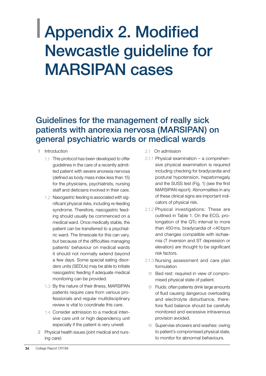## <span id="page-35-0"></span>| Appendix 2. Modified Newcastle guideline for MARSIPAN cases

## Guidelines for the management of really sick patients with anorexia nervosa (MARSIPAN) on general psychiatric wards or medical wards

- 1 Introduction
	- 1.1 This protocol has been developed to offer guidelines in the care of a recently admitted patient with severe anorexia nervosa (defined as body mass index less than 15) for the physicians, psychiatrists, nursing staff and dieticians involved in their care.
	- 1.2 Nasogastric feeding is associated with significant physical risks, including re-feeding syndrome. Therefore, nasogastric feeding should usually be commenced on a medical ward. Once medically stable, the patient can be transferred to a psychiatric ward. The timescale for this can vary, but because of the difficulties managing patients' behaviour on medical wards it should not normally extend beyond a few days. Some special eating disorders units (SEDUs) may be able to initiate nasogastric feeding if adequate medical monitoring can be provided.
	- 1.3 By the nature of their illness, MARSIPAN patients require care from various professionals and regular multidisciplinary review is vital to coordinate this care.
	- 1.4 Consider admission to a medical intensive care unit or high dependency unit especially if the patient is very unwell.
- 2 Physical health issues (joint medical and nursing care)
- 2.1 On admission
- 2.1.1 Physical examination a comprehensive physical examination is required including checking for bradycardia and postural hypotension, hepatomegaly and the SUSS test (Fig. 1) (see the first MARSIPAN report). Abnormalities in any of these clinical signs are important indicators of physical risk.
- 2.1.2 Physical investigations: These are outlined in Table 1. On the ECG, prolongation of the QTc interval to more than 450ms, bradycardia of <40bpm and changes compatible with ischaemia (T inversion and ST depression or elevation) are thought to be significant risk factors.
- 2.1.3 Nursing assessment and care plan formulation
	- { Bed rest: required in view of compromised physical state of patient.
	- { Fluids: often patients drink large amounts of fluid causing dangerous overloading and electrolyte disturbance, therefore fluid balance should be carefully monitored and excessive intravenous provision avoided.
	- { Supervise showers and washes: owing to patient's compromised physical state, to monitor for abnormal behaviours.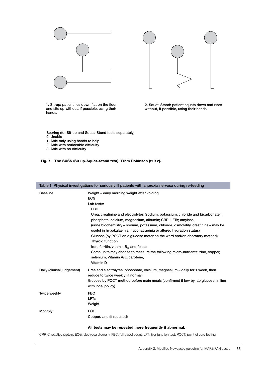



1. Sit-up: patient lies down flat on the floor and sits up without, if possible, using their hands.

2. Squat–Stand: patient squats down and rises without, if possible, using their hands.

Scoring (for Sit-up and Squat–Stand tests separately) 0: Unable

1: Able only using hands to help

2: Able with noticeable difficulty

3: Able with no difficulty

#### Fig. 1 The SUSS (Sit up–Squat–Stand test). From Robinson (2012).

| Table 1 Physical investigations for seriously ill patients with anorexia nervosa during re-feeding |                                                                                                                                                                                                                                                                                                                                                                                                                                                                                                                                                                                                                                                                                                     |  |  |
|----------------------------------------------------------------------------------------------------|-----------------------------------------------------------------------------------------------------------------------------------------------------------------------------------------------------------------------------------------------------------------------------------------------------------------------------------------------------------------------------------------------------------------------------------------------------------------------------------------------------------------------------------------------------------------------------------------------------------------------------------------------------------------------------------------------------|--|--|
| <b>Baseline</b>                                                                                    | Weight - early morning weight after voiding<br><b>ECG</b><br>Lab tests:<br><b>FBC</b><br>Urea, creatinine and electrolytes (sodium, potassium, chloride and bicarbonate);<br>phosphate, calcium, magnesium, albumin; CRP; LFTs; amylase<br>(urine biochemistry - sodium, potassium, chloride, osmolality, creatinine - may be<br>useful in hypokalaemia, hyponatraemia or altered hydration status)<br>Glucose (by POCT on a glucose meter on the ward and/or laboratory method)<br><b>Thyroid function</b><br>Iron, ferritin, vitamin B <sub>12</sub> and folate<br>Some units may choose to measure the following micro-nutrients: zinc, copper,<br>selenium, Vitamin A/E, carotene,<br>Vitamin D |  |  |
| Daily (clinical judgement)                                                                         | Urea and electrolytes, phosphate, calcium, magnesium – daily for 1 week, then<br>reduce to twice weekly (if normal)<br>Glucose by POCT method before main meals (confirmed if low by lab glucose, in line<br>with local policy)                                                                                                                                                                                                                                                                                                                                                                                                                                                                     |  |  |
| <b>Twice weekly</b>                                                                                | <b>FBC</b><br><b>LFTs</b><br>Weight                                                                                                                                                                                                                                                                                                                                                                                                                                                                                                                                                                                                                                                                 |  |  |
| <b>Monthly</b>                                                                                     | <b>ECG</b><br>Copper, zinc (if required)                                                                                                                                                                                                                                                                                                                                                                                                                                                                                                                                                                                                                                                            |  |  |
|                                                                                                    | All tests may be repeated more frequently if abnormal.                                                                                                                                                                                                                                                                                                                                                                                                                                                                                                                                                                                                                                              |  |  |

CRP, C-reactive protein; ECG, electrocardiogram; FBC, full blood count; LFT, liver function test; POCT, point of care testing.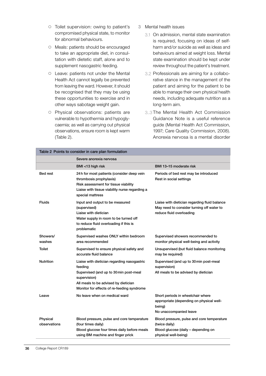- { Toilet supervision: owing to patient's compromised physical state, to monitor for abnormal behaviours.
- { Meals: patients should be encouraged to take an appropriate diet, in consultation with dietetic staff, alone and to supplement nasogastric feeding.
- { Leave: patients not under the Mental Health Act cannot legally be prevented from leaving the ward. However, it should be recognised that they may be using these opportunities to exercise and in other ways sabotage weight gain.
- { Physical observations: patients are vulnerable to hypothermia and hypoglycaemia; as well as carrying out physical observations, ensure room is kept warm (Table 2).
- 3 Mental health issues
	- 3.1 On admission, mental state examination is required, focusing on ideas of selfharm and/or suicide as well as ideas and behaviours aimed at weight loss. Mental state examination should be kept under review throughout the patient's treatment.
	- 3.2 Professionals are aiming for a collaborative stance in the management of the patient and aiming for the patient to be able to manage their own physical health needs, including adequate nutrition as a long-term aim.
	- 3..3 The Mental Health Act Commission Guidance Note is a useful reference guide (Mental Health Act Commission, 1997; Care Quality Commission, 2008). Anorexia nervosa is a mental disorder

| Table 2 Points to consider in care plan formulation |                                                                                                                                                                                                        |                                                                                                                            |  |
|-----------------------------------------------------|--------------------------------------------------------------------------------------------------------------------------------------------------------------------------------------------------------|----------------------------------------------------------------------------------------------------------------------------|--|
|                                                     | Severe anorexia nervosa                                                                                                                                                                                |                                                                                                                            |  |
|                                                     | BMI <13 high risk                                                                                                                                                                                      | BMI 13-15 moderate risk                                                                                                    |  |
| <b>Bed rest</b>                                     | 24h for most patients (consider deep vein<br>thrombosis prophylaxis)<br>Risk assessment for tissue viability<br>Liaise with tissue viability nurse regarding a<br>special mattress                     | Periods of bed rest may be introduced<br>Rest in social settings                                                           |  |
| <b>Fluids</b>                                       | Input and output to be measured<br>(supervised)<br>Liaise with dietician<br>Water supply in room to be turned off<br>to reduce fluid overloading if this is<br>problematic                             | Liaise with dietician regarding fluid balance<br>May need to consider turning off water to<br>reduce fluid overloading     |  |
| Showers/<br>washes                                  | Supervised washes ONLY within bedroom<br>area recommended                                                                                                                                              | Supervised showers recommended to<br>monitor physical well-being and activity                                              |  |
| <b>Toilet</b>                                       | Supervised to ensure physical safety and<br>accurate fluid balance                                                                                                                                     | Unsupervised (but fluid balance monitoring<br>may be required)                                                             |  |
| <b>Nutrition</b>                                    | Liaise with dietician regarding nasogastric<br>feeding<br>Supervised (and up to 30 min post-meal<br>supervision)<br>All meals to be advised by dietician<br>Monitor for effects of re-feeding syndrome | Supervised (and up to 30 min post-meal<br>supervision)<br>All meals to be advised by dietician                             |  |
| Leave                                               | No leave when on medical ward                                                                                                                                                                          | Short periods in wheelchair where<br>appropriate (depending on physical well-<br>being)<br>No unaccompanied leave          |  |
| Physical<br>observations                            | Blood pressure, pulse and core temperature<br>(four times daily)<br>Blood glucose four times daily before meals<br>using BM machine and finger prick                                                   | Blood pressure, pulse and core temperature<br>(twice daily)<br>Blood glucose (daily - depending on<br>physical well-being) |  |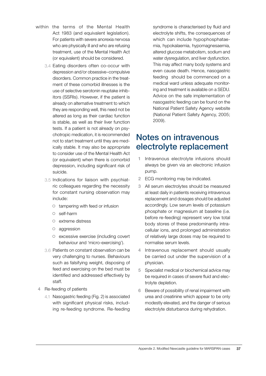- within the terms of the Mental Health Act 1983 (and equivalent legislation). For patients with severe anorexia nervosa who are physically ill and who are refusing treatment, use of the Mental Health Act (or equivalent) should be considered.
	- 3.4 Eating disorders often co-occur with depression and/or obsessive–compulsive disorders. Common practice in the treatment of these comorbid illnesses is the use of selective serotonin reuptake inhibitors (SSRIs). However, if the patient is already on alternative treatment to which they are responding well, this need not be altered as long as their cardiac function is stable, as well as their liver function tests. If a patient is not already on psychotropic medication, it is recommended not to start treatment until they are medically stable. It may also be appropriate to consider use of the Mental Health Act (or equivalent) when there is comorbid depression, including significant risk of suicide.
	- 3.5 Indications for liaison with psychiatric colleagues regarding the necessity for constant nursing observation may include:
		- ${\circ}$  tampering with feed or infusion
		- { self-harm
		- $\circ$  extreme distress
		- $\circ$  aggression
		- { excessive exercise (including covert behaviour and 'micro-exercising').
	- 3.6 Patients on constant observation can be very challenging to nurses. Behaviours such as falsifying weight, disposing of feed and exercising on the bed must be identified and addressed effectively by staff.
- 4 Re-feeding of patients
	- 4.1 Nasogastric feeding (Fig. 2) is associated with significant physical risks, including re-feeding syndrome. Re-feeding

syndrome is characterised by fluid and electrolyte shifts, the consequences of which can include hypophosphataemia, hypokalaemia, hypomagnesaemia, altered glucose metabolism, sodium and water dysregulation, and liver dysfunction. This may affect many body systems and even cause death. Hence, nasogastric feeding should be commenced on a medical ward unless adequate monitoring and treatment is available on a SEDU. Advice on the safe implementation of nasogastric feeding can be found on the National Patient Safety Agency website (National Patient Safety Agency, 2005; 2009).

### Notes on intravenous electrolyte replacement

- 1 Intravenous electrolyte infusions should always be given via an electronic infusion pump.
- 2 ECG monitoring may be indicated.
- 3 All serum electrolytes should be measured at least daily in patients receiving intravenous replacement and dosages should be adjusted accordingly. Low serum levels of potassium phosphate or magnesium at baseline (i.e. before re-feeding) represent very low total body stores of these predominantly intracellular ions, and prolonged administration of relatively large doses may be required to normalise serum levels.
- 4 Intravenous replacement should usually be carried out under the supervision of a physician.
- 5 Specialist medical or biochemical advice may be required in cases of severe fluid and electrolyte depletion.
- 6 Beware of possibility of renal impairment with urea and creatinine which appear to be only modestly elevated, and the danger of serious electrolyte disturbance during rehydration.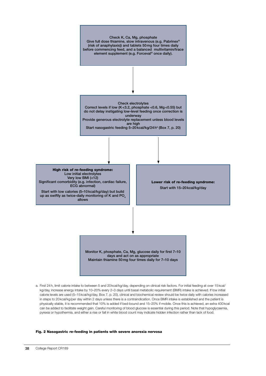

a. First 24h, limit calorie intake to between 5 and 20kcal/kg/day, depending on clinical risk factors. For initial feeding at over 15kcal/ kg/day, increase energy intake by 10–20% every 2–3 days until basal metabolic requirement (BMR) intake is achieved. If low initial calorie levels are used (5–15kcal/kg/day, Box 7, p. 20), clinical and biochemical review should be twice daily with calories increased in steps to 20kcal/kg/per day within 2 days unless there is a contraindication. Once BMR intake is established and the patient is physically stable, it is recommended that 10% is added if bed-bound and 15–20% if mobile. Once this is achieved, an extra 400kcal can be added to facilitate weight gain. Careful monitoring of blood glucose is essential during this period. Note that hypoglycaemia, pyrexia or hypothermia, and either a rise or fall in white blood count may indicate hidden infection rather than lack of food.

#### Fig. 2 Nasogastric re-feeding in patients with severe anorexia nervosa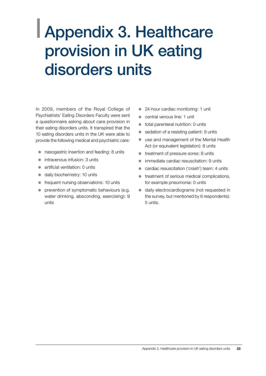## <span id="page-40-0"></span>| Appendix 3. Healthcare provision in UK eating disorders units

In 2009, members of the Royal College of Psychiatrists' Eating Disorders Faculty were sent a questionnaire asking about care provision in their eating disorders units. It transpired that the 10 eating disorders units in the UK were able to provide the following medical and psychiatric care:

- nasogastric insertion and feeding: 8 units
- $\bullet$  intravenous infusion: 3 units
- $\bullet$  artificial ventilation: 0 units
- daily biochemistry: 10 units
- frequent nursing observations: 10 units
- prevention of symptomatic behaviours (e.g. water drinking, absconding, exercising): 9 units
- 24-hour cardiac monitoring: 1 unit
- central venous line: 1 unit
- total parenteral nutrition: 0 units
- $\bullet$  sedation of a resisting patient: 9 units
- $\bullet$  use and management of the Mental Health Act (or equivalent legislation): 8 units
- $\bullet$  treatment of pressure sores: 8 units
- immediate cardiac resuscitation: 9 units
- cardiac resuscitation ('crash') team: 4 units
- treatment of serious medical complications, for example pneumonia: 0 units
- $\bullet$  daily electrocardiograms (not requested in the survey, but mentioned by 6 respondents): 5 units.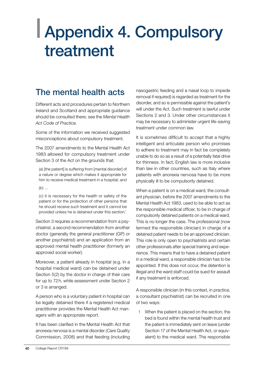## <span id="page-41-0"></span>| Appendix 4. Compulsory treatment

## The mental health acts

Different acts and procedures pertain to Northern Ireland and Scotland and appropriate guidance should be consulted there; see the *Mental Health Act Code of Practice*.

Some of the information we received suggested misconceptions about compulsory treatment.

The 2007 amendments to the Mental Health Act 1983 allowed for compulsory treatment under Section 3 of the Act on the grounds that:

(a) [the patient] is suffering from [mental disorder] of a nature or degree which makes it appropriate for him to receive medical treatment in a hospital; and

 $(b)$  ...

(c) it is necessary for the health or safety of the patient or for the protection of other persons that he should receive such treatment and it cannot be provided unless he is detained under this section.'

Section 3 requires a recommendation from a psychiatrist, a second recommendation from another doctor (generally the general practitioner (GP) or another psychiatrist) and an application from an approved mental health practitioner (formerly an approved social worker).

Moreover, a patient already in hospital (e.g. in a hospital medical ward) can be detained under Section 5(2) by the doctor in charge of their care for up to 72h, while assessment under Section 2 or 3 is arranged.

A person who is a voluntary patient in hospital can be legally detained there if a registered medical practitioner provides the Mental Health Act managers with an appropriate report.

It has been clarified in the Mental Health Act that anorexia nervosa is a mental disorder (Care Quality Commission, 2008) and that feeding (including

nasogastric feeding and a nasal loop to impede removal if required) is regarded as treatment for the disorder, and so is permissible against the patient's will under the Act. Such treatment is lawful under Sections 2 and 3. Under other circumstances it may be necessary to administer urgent life-saving treatment under common law.

It is sometimes difficult to accept that a highly intelligent and articulate person who promises to adhere to treatment may in fact be completely unable to do so as a result of a potentially fatal drive for thinness. In fact, English law is more inclusive than law in other countries, such as Italy where patients with anorexia nervosa have to be more physically ill to be compulsorily detained.

When a patient is on a medical ward, the consultant physician, before the 2007 amendments to the Mental Health Act 1983, used to be able to act as the responsible medical officer, to be in charge of compulsorily detained patients on a medical ward. This is no longer the case. The professional (now termed the responsible clinician) in charge of a detained patient needs to be an approved clinician. This role is only open to psychiatrists and certain other professionals after special training and experience. This means that to have a detained patient in a medical ward, a responsible clinician has to be appointed. If this does not occur, the detention is illegal and the ward staff could be sued for assault if any treatment is enforced.

A responsible clinician (in this context, in practice, a consultant psychiatrist) can be recruited in one of two ways:

1 When the patient is placed on the section, the bed is found within the mental health trust and the patient is immediately sent on leave (under Section 17 of the Mental Health Act, or equivalent) to the medical ward. The responsible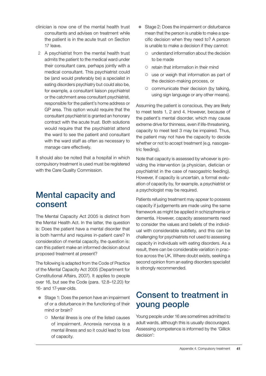- clinician is now one of the mental health trust consultants and advises on treatment while the patient is in the acute trust on Section 17 leave.
- 2 A psychiatrist from the mental health trust admits the patient to the medical ward under their consultant care, perhaps jointly with a medical consultant. This psychiatrist could be (and would preferably be) a specialist in eating disorders psychiatry but could also be, for example, a consultant liaison psychiatrist or the catchment area consultant psychiatrist, responsible for the patient's home address or GP area. This option would require that the consultant psychiatrist is granted an honorary contract with the acute trust. Both solutions would require that the psychiatrist attend the ward to see the patient and consultant with the ward staff as often as necessary to manage care effectively.

It should also be noted that a hospital in which compulsory treatment is used must be registered with the Care Quality Commission.

### Mental capacity and consent

The Mental Capacity Act 2005 is distinct from the Mental Health Act. In the latter, the question is: Does the patient have a mental disorder that is both harmful and requires in-patient care? In consideration of mental capacity, the question is: can this patient make an informed decision about proposed treatment at present?

The following is adapted from the Code of Practice of the Mental Capacity Act 2005 (Department for Constitutional Affairs, 2007). It applies to people over 16, but see the Code (para. 12.8–12.20) for 16- and 17-year-olds.

- Stage 1: Does the person have an impairment of or a disturbance in the functioning of their mind or brain?
	- $\circ$  Mental illness is one of the listed causes of impairment. Anorexia nervosa is a mental illness and so it could lead to loss of capacity.
- Stage 2: Does the impairment or disturbance mean that the person is unable to make a specific decision when they need to? A person is unable to make a decision if they cannot:
	- $\circ$  understand information about the decision to be made
	- $\circ$  retain that information in their mind
	- $\circ$  use or weigh that information as part of the decision-making process, or
	- $\circ$  communicate their decision (by talking, using sign language or any other means).

Assuming the patient is conscious, they are likely to meet tests 1, 2 and 4. However, because of the patient's mental disorder, which may cause extreme drive for thinness, even if life-threatening, capacity to meet test 3 may be impaired. Thus, the patient may not have the capacity to decide whether or not to accept treatment (e.g. nasogastric feeding).

Note that capacity is assessed by whoever is providing the intervention (a physician, dietician or psychiatrist in the case of nasogastric feeding). However, if capacity is uncertain, a formal evaluation of capacity by, for example, a psychiatrist or a psychologist may be required.

Patients refusing treatment may appear to possess capacity if judgements are made using the same framework as might be applied in schizophrenia or dementia. However, capacity assessments need to consider the values and beliefs of the individual with considerable subtlety, and this can be challenging for psychiatrists not used to assessing capacity in individuals with eating disorders. As a result, there can be considerable variation in practice across the UK. Where doubt exists, seeking a second opinion from an eating disorders specialist is strongly recommended.

## Consent to treatment in young people

Young people under 16 are sometimes admitted to adult wards, although this is usually discouraged. Assessing competence is informed by the 'Gillick decision':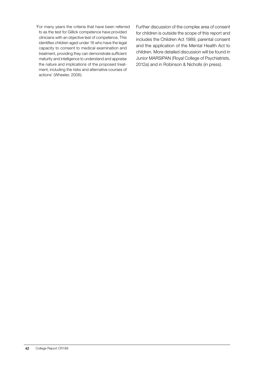'For many years the criteria that have been referred to as the test for Gillick competence have provided clinicians with an objective test of competence. This identifies children aged under 16 who have the legal capacity to consent to medical examination and treatment, providing they can demonstrate sufficient maturity and intelligence to understand and appraise the nature and implications of the proposed treatment, including the risks and alternative courses of actions' (Wheeler, 2006).

Further discussion of the complex area of consent for children is outside the scope of this report and includes the Children Act 1989, parental consent and the application of the Mental Health Act to children. More detailed discussion will be found in Junior MARSIPAN (Royal College of Psychiatrists, 2012*a*) and in Robinson & Nicholls (in press).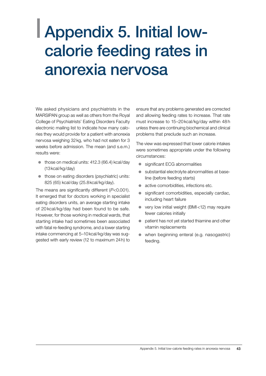## <span id="page-44-0"></span>| Appendix 5. Initial lowcalorie feeding rates in anorexia nervosa

We asked physicians and psychiatrists in the MARSIPAN group as well as others from the Royal College of Psychiatrists' Eating Disorders Faculty electronic mailing list to indicate how many calories they would provide for a patient with anorexia nervosa weighing 32kg, who had not eaten for 3 weeks before admission. The mean (and s.e.m.) results were:

- $\bullet$  those on medical units: 412.3 (66.4) kcal/day (13kcal/kg/day)
- $\bullet$  those on eating disorders (psychiatric) units: 825 (65) kcal/day (25.8kcal/kg/day).

The means are significantly different (*P*<0.001). It emerged that for doctors working in specialist eating disorders units, an average starting intake of 20 kcal/kg/day had been found to be safe. However, for those working in medical wards, that starting intake had sometimes been associated with fatal re-feeding syndrome, and a lower starting intake commencing at 5–10kcal/kg/day was suggested with early review (12 to maximum 24h) to ensure that any problems generated are corrected and allowing feeding rates to increase. That rate must increase to 15–20kcal/kg/day within 48h unless there are continuing biochemical and clinical problems that preclude such an increase.

The view was expressed that lower calorie intakes were sometimes appropriate under the following circumstances:

- significant ECG abnormalities
- substantial electrolyte abnormalities at baseline (before feeding starts)
- active comorbidities, infections etc.
- significant comorbidities, especially cardiac, including heart failure
- $\bullet$  very low initial weight (BMI<12) may require fewer calories initially
- patient has not yet started thiamine and other vitamin replacements
- $\bullet$  when beginning enteral (e.g. nasogastric) feeding.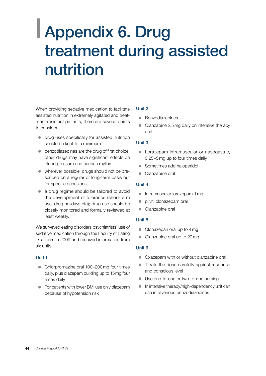## <span id="page-45-0"></span>| Appendix 6. Drug treatment during assisted nutrition

When providing sedative medication to facilitate assisted nutrition in extremely agitated and treatment-resistant patients, there are several points to consider:

- $\bullet$  drug uses specifically for assisted nutrition should be kept to a minimum
- $\bullet$  benzodiazepines are the drug of first choice; other drugs may have significant effects on blood pressure and cardiac rhythm
- wherever possible, drugs should not be prescribed on a regular or long-term basis but for specific occasions
- $\bullet$  a drug regime should be tailored to avoid the development of tolerance (short-term use, drug holidays etc); drug use should be closely monitored and formally reviewed at least weekly.

We surveyed eating disorders psychiatrists' use of sedative medication through the Faculty of Eating Disorders in 2009 and received information from six units.

#### Unit 1

- Chlorpromazine oral 100–200 mg four times daily, plus diazepam building up to 15mg four times daily
- For patients with lower BMI use only diazepam because of hypotension risk

#### Unit 2

- Benzodiazepines
- $\bullet$  Olanzapine 2.5 mg daily on intensive therapy unit

#### Unit 3

- **Lorazepam intramuscular or nasogastric,** 0.25–5mg up to four times daily
- Sometimes add haloperidol
- Olanzapine oral

#### Unit 4

- Intramuscular lorazepam 1 mg
- p.r.n. clonazepam oral
- Olanzapine oral

#### Unit 5

- $\bullet$  Clonazepan oral up to  $4mg$
- Olanzapine oral up to 20mg

#### Unit 6

- Oxazepam with or without olanzapine oral
- $\bullet$  Titrate the dose carefully against response and conscious level
- Use one-to-one or two-to-one nursing
- $\bullet$  In intensive therapy/high-dependency unit can use intravenous benzodiazepines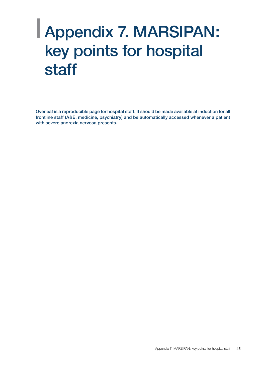## <span id="page-46-0"></span>| Appendix 7. MARSIPAN: key points for hospital staff

Overleaf is a reproducible page for hospital staff. It should be made available at induction for all frontline staff (A&E, medicine, psychiatry) and be automatically accessed whenever a patient with severe anorexia nervosa presents.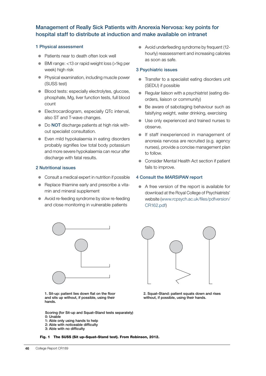#### Management of Really Sick Patients with Anorexia Nervosa: key points for hospital staff to distribute at induction and make available on intranet

#### 1 Physical assessment

- Patients near to death often look well
- $\bullet$  BMI range: <13 or rapid weight loss (>1kg per week) high risk
- Physical examination, including muscle power (SUSS test)
- $\bullet$  Blood tests: especially electrolytes, glucose, phosphate, Mg, liver function tests, full blood count
- Electrocardiogram, especially QTc interval, also ST and T-wave changes.
- Do NOT discharge patients at high risk without specialist consultation.
- Even mild hypokalaemia in eating disorders probably signifies low total body potassium and more severe hypokalaemia can recur after discharge with fatal results.

#### 2 Nutritional issues

- $\bullet$  Consult a medical expert in nutrition if possible
- Replace thiamine early and prescribe a vitamin and mineral supplement
- Avoid re-feeding syndrome by slow re-feeding and close monitoring in vulnerable patients



1. Sit-up: patient lies down flat on the floor and sits up without, if possible, using their hands.

Scoring (for Sit-up and Squat–Stand tests separately) 0: Unable

- 1: Able only using hands to help
- 2: Able with noticeable difficulty
- 3: Able with no difficulty

• Avoid underfeeding syndrome by frequent (12hourly) reassessment and increasing calories as soon as safe.

#### 3 Psychiatric issues

- Transfer to a specialist eating disorders unit (SEDU) if possible
- Regular liaison with a psychiatrist (eating disorders, liaison or community)
- $\bullet$  Be aware of sabotaging behaviour such as falsifying weight, water drinking, exercising
- Use only experienced and trained nurses to observe.
- $\bullet$  If staff inexperienced in management of anorexia nervosa are recruited (e.g. agency nurses), provide a concise management plan to follow.
- z Consider Mental Health Act section if patient fails to improve.

#### 4 Consult the *MARSIPAN* report

 $\bullet$  A free version of the report is available for download at the Royal College of Psychiatrists' website (www.rcpsych.ac.uk/files/pdfversion/ CR162.pdf)



2. Squat–Stand: patient squats down and rises without, if possible, using their hands.

Fig. 1 The SUSS (Sit up–Squat–Stand test). From Robinson, 2012.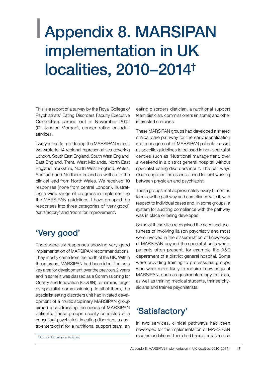## <span id="page-48-0"></span>| Appendix 8. MARSIPAN implementation in UK localities, 2010–2014†

This is a report of a survey by the Royal College of Psychiatrists' Eating Disorders Faculty Executive Committee carried out in November 2012 (Dr Jessica Morgan), concentrating on adult services.

Two years after producing the MARSIPAN report, we wrote to 14 regional representatives covering London, South East England, South West England, East England, Trent, West Midlands, North East England, Yorkshire, North West England, Wales, Scotland and Northern Ireland as well as to the clinical lead from North Wales. We received 10 responses (none from central London), illustrating a wide range of progress in implementing the MARSIPAN guidelines. I have grouped the responses into three categories of 'very good', 'satisfactory' and 'room for improvement'.

## 'Very good'

There were six responses showing very good implementation of MARSIPAN recommendations. They mostly came from the north of the UK. Within these areas, MARSIPAN had been identified as a key area for development over the previous 2 years and in some it was classed as a Commissioning for Quality and Innovation (CQUIN), or similar, target by specialist commissioning. In all of them, the specialist eating disorders unit had initiated development of a multidisciplinary MARSIPAN group aimed at addressing the needs of MARSIPAN patients. These groups usually consisted of a consultant psychiatrist in eating disorders, a gastroenterologist for a nutritional support team, an eating disorders dietician, a nutritional support team dietician, commissioners (in some) and other interested clinicians.

These MARSIPAN groups had developed a shared clinical care pathway for the early identification and management of MARSIPAN patients as well as specific guidelines to be used in non-specialist centres such as 'Nutritional management, over a weekend in a district general hospital without specialist eating disorders input'. The pathways also recognised the essential need for joint working between physician and psychiatrist.

These groups met approximately every 6 months to review the pathway and compliance with it, with respect to individual cases and, in some groups, a system for auditing compliance with the pathway was in place or being developed.

Some of these sites recognised the need and usefulness of involving liaison psychiatry and most were involved in the dissemination of knowledge of MARSIPAN beyond the specialist units where patients often present, for example the A&E department of a district general hospital. Some were providing training to professional groups who were more likely to require knowledge of MARSIPAN, such as gastroenterology trainees, as well as training medical students, trainee physicians and trainee psychiatrists.

## 'Satisfactory'

In two services, clinical pathways had been developed for the implementation of MARSIPAN † recommendations. There had been a positive push Author: Dr Jessica Morgan.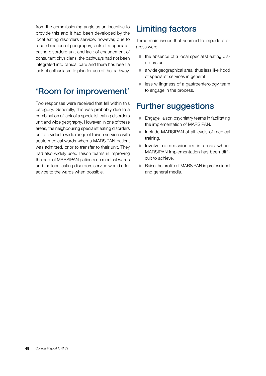from the commissioning angle as an incentive to provide this and it had been developed by the local eating disorders service; however, due to a combination of geography, lack of a specialist eating disorderd unit and lack of engagement of consultant physicians, the pathways had not been integrated into clinical care and there has been a lack of enthusiasm to plan for use of the pathway.

## 'Room for improvement'

Two responses were received that fell within this category. Generally, this was probably due to a combination of lack of a specialist eating disorders unit and wide geography. However, in one of these areas, the neighbouring specialist eating disorders unit provided a wide range of liaison services with acute medical wards when a MARSIPAN patient was admitted, prior to transfer to their unit. They had also widely used liaison teams in improving the care of MARSIPAN patients on medical wards and the local eating disorders service would offer advice to the wards when possible.

## Limiting factors

Three main issues that seemed to impede progress were:

- $\bullet$  the absence of a local specialist eating disorders unit
- $\bullet$  a wide geographical area, thus less likelihood of specialist services in general
- $\bullet$  less willingness of a gastroenterology team to engage in the process.

## Further suggestions

- Engage liaison psychiatry teams in facilitating the implementation of MARSIPAN.
- Include MARSIPAN at all levels of medical training.
- $\bullet$  Involve commissioners in areas where MARSIPAN implementation has been difficult to achieve.
- Raise the profile of MARSIPAN in professional and general media.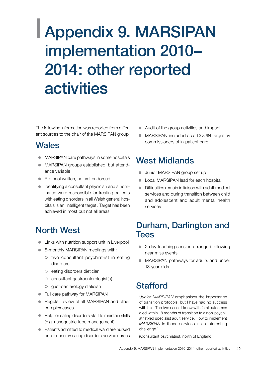## <span id="page-50-0"></span>| Appendix 9. MARSIPAN implementation 2010– 2014: other reported **activities**

The following information was reported from different sources to the chair of the MARSIPAN group.

### **Wales**

- MARSIPAN care pathways in some hospitals
- MARSIPAN groups established, but attendance variable
- Protocol written, not yet endorsed
- Identifying a consultant physician and a nominated ward responsible for treating patients with eating disorders in all Welsh general hospitals is an 'intelligent target'. Target has been achieved in most but not all areas.

## North West

- Links with nutrition support unit in Liverpool
- 6-monthly MARSIPAN meetings with:
	- $\circ$  two consultant psychiatrist in eating disorders
	- $\circ$  eating disorders dietician
	- $\circ$  consultant gastroenterologist(s)
	- $\circ$  gastroenterology dietician
- Full care pathway for MARSIPAN
- Regular review of all MARSIPAN and other complex cases
- Help for eating disorders staff to maintain skills (e.g. nasogastric tube management)
- Patients admitted to medical ward are nursed one-to-one by eating disorders service nurses
- $\bullet$  Audit of the group activities and impact
- MARSIPAN included as a CQUIN target by commissioners of in-patient care

## West Midlands

- Junior MARSIPAN group set up
- Local MARSIPAN lead for each hospital
- $\bullet$  Difficulties remain in liaison with adult medical services and during transition between child and adolescent and adult mental health services

### Durham, Darlington and **Tees**

- 2-day teaching session arranged following near miss events
- MARSIPAN pathways for adults and under 18-year-olds

## **Stafford**

'*Junior MARSIPAN* emphasises the importance of transition protocols, but I have had no success with this. The two cases I know with fatal outcomes died within 18 months of transition to a non-psychiatrist-led specialist adult service. How to implement *MARSIPAN* in those services is an interesting challenge.'

(Consultant psychiatrist, north of England)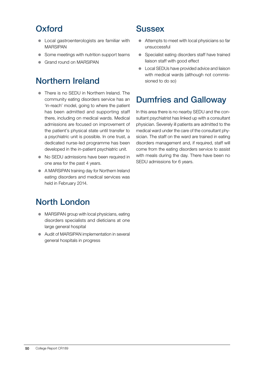## **Oxford**

- Local gastroenterologists are familiar with MARSIPAN
- Some meetings with nutrition support teams
- Grand round on MARSIPAN

## Northern Ireland

- There is no SEDU in Northern Ireland. The community eating disorders service has an 'in-reach' model, going to where the patient has been admitted and supporting staff there, including on medical wards. Medical admissions are focused on improvement of the patient's physical state until transfer to a psychiatric unit is possible. In one trust, a dedicated nurse-led programme has been developed in the in-patient psychiatric unit.
- No SEDU admissions have been required in one area for the past 4 years.
- A MARSIPAN training day for Northern Ireland eating disorders and medical services was held in February 2014.

## North London

- MARSIPAN group with local physicians, eating disorders specialists and dieticians at one large general hospital
- Audit of MARSIPAN implementation in several general hospitals in progress

### **Sussex**

- $\bullet$  Attempts to meet with local physicians so far unsuccessful
- Specialist eating disorders staff have trained liaison staff with good effect
- Local SEDUs have provided advice and liaison with medical wards (although not commissioned to do so)

## Dumfries and Galloway

In this area there is no nearby SEDU and the consultant psychiatrist has linked up with a consultant physician. Severely ill patients are admitted to the medical ward under the care of the consultant physician. The staff on the ward are trained in eating disorders management and, if required, staff will come from the eating disorders service to assist with meals during the day. There have been no SEDU admissions for 6 years.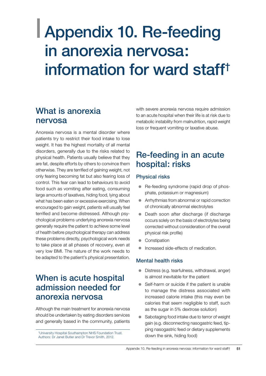## <span id="page-52-0"></span>| Appendix 10. Re-feeding in anorexia nervosa: information for ward staff†

## What is anorexia nervosa

Anorexia nervosa is a mental disorder where patients try to restrict their food intake to lose weight. It has the highest mortality of all mental disorders, generally due to the risks related to physical health. Patients usually believe that they are fat, despite efforts by others to convince them otherwise. They are terrified of gaining weight, not only fearing becoming fat but also fearing loss of control. This fear can lead to behaviours to avoid food such as vomiting after eating, consuming large amounts of laxatives, hiding food, lying about what has been eaten or excessive exercising. When encouraged to gain weight, patients will usually feel terrified and become distressed. Although psychological problems underlying anorexia nervosa generally require the patient to achieve some level of health before psychological therapy can address these problems directly, psychological work needs to take place at all phases of recovery, even at very low BMI. The nature of the work needs to be adapted to the patient's physical presentation.

## When is acute hospital admission needed for anorexia nervosa

Although the main treatment for anorexia nervosa should be undertaken by eating disorders services and generally based in the community, patients

down the sink, hiding food) † University Hospital Southampton NHS Foundation Trust. Authors: Dr Janet Butler and Dr Trevor Smith, 2012.

with severe anorexia nervosa require admission to an acute hospital when their life is at risk due to metabolic instability from malnutrition, rapid weight loss or frequent vomiting or laxative abuse.

## Re-feeding in an acute hospital: risks

#### Physical risks

- Re-feeding syndrome (rapid drop of phosphate, potassium or magnesium)
- Arrhythmias from abnormal or rapid correction of chronically abnormal electrolytes
- Death soon after discharge (if discharge occurs solely on the basis of electrolytes being corrected without consideration of the overall physical risk profile)
- Constipation
- Increased side-effects of medication.

#### Mental health risks

- $\bullet$  Distress (e.g. tearfulness, withdrawal, anger) is almost inevitable for the patient
- $\bullet$  Self-harm or suicide if the patient is unable to manage the distress associated with increased calorie intake (this may even be calories that seem negligible to staff, such as the sugar in 5% dextrose solution)
- Sabotaging food intake due to terror of weight gain (e.g. disconnecting nasogastric feed, tipping nasogastric feed or dietary supplements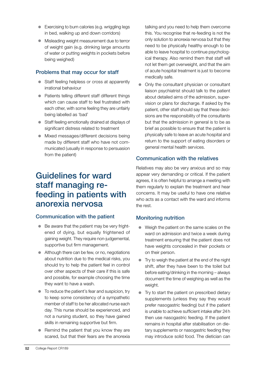- Exercising to burn calories (e.g. wriggling legs in bed, walking up and down corridors)
- $\bullet$  Misleading weight measurement due to terror of weight gain (e.g. drinking large amounts of water or putting weights in pockets before being weighed)

#### Problems that may occur for staff

- Staff feeling helpless or cross at apparently irrational behaviour
- Patients telling different staff different things which can cause staff to feel frustrated with each other, with some feeling they are unfairly being labelled as 'bad'
- Staff feeling emotionally drained at displays of significant distress related to treatment
- Mixed messages/different decisions being made by different staff who have not communicated (usually in response to persuasion from the patient)

### Guidelines for ward staff managing refeeding in patients with anorexia nervosa

#### Communication with the patient

- $\bullet$  Be aware that the patient may be very frightened of dying, but equally frightened of gaining weight. They require non-judgemental, supportive but firm management.
- $\bullet$  Although there can be few, or no, negotiations about nutrition due to the medical risks, you should try to help the patient feel in control over other aspects of their care if this is safe and possible, for example choosing the time they want to have a wash.
- $\bullet$  To reduce the patient's fear and suspicion, try to keep some consistency of a sympathetic member of staff to be her allocated nurse each day. This nurse should be experienced, and not a nursing student, so they have gained skills in remaining supportive but firm.
- $\bullet$  Remind the patient that you know they are scared, but that their fears are the anorexia

talking and you need to help them overcome this. You recognise that re-feeding is not the only solution to anorexia nervosa but that they need to be physically healthy enough to be able to leave hospital to continue psychological therapy. Also remind them that staff will not let them get overweight, and that the aim of acute hospital treatment is just to become medically safe.

Only the consultant physician or consultant liaison psychiatrist should talk to the patient about detailed aims of the admission, supervision or plans for discharge. If asked by the patient, other staff should say that these decisions are the responsibility of the consultants but that the admission in general is to be as brief as possible to ensure that the patient is physically safe to leave an acute hospital and return to the support of eating disorders or general mental health services.

#### Communication with the relatives

Relatives may also be very anxious and so may appear very demanding or critical. If the patient agrees, it is often helpful to arrange a meeting with them regularly to explain the treatment and hear concerns. It may be useful to have one relative who acts as a contact with the ward and informs the rest.

#### Monitoring nutrition

- $\bullet$  Weigh the patient on the same scales on the ward on admission and twice a week during treatment ensuring that the patient does not have weights concealed in their pockets or on their person.
- Try to weigh the patient at the end of the night shift, after they have been to the toilet but before eating/drinking in the morning – always document the time of weighing as well as the weight.
- $\bullet$  Try to start the patient on prescribed dietary supplements (unless they say they would prefer nasogastric feeding) but if the patient is unable to achieve sufficient intake after 24h then use nasogastric feeding. If the patient remains in hospital after stabilisation on dietary supplements or nasogastric feeding they may introduce solid food. The dietician can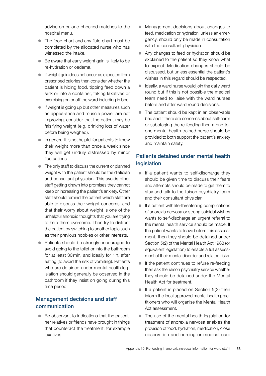advise on calorie-checked matches to the hospital menu.

- The food chart and any fluid chart must be completed by the allocated nurse who has witnessed the intake.
- $\bullet$  Be aware that early weight gain is likely to be re-hydration or oedema.
- **•** If weight gain does not occur as expected from prescribed calories then consider whether the patient is hiding food, tipping feed down a sink or into a container, taking laxatives or exercising on or off the ward including in bed.
- $\bullet$  If weight is going up but other measures such as appearance and muscle power are not improving, consider that the patient may be falsifying weight (e.g. drinking lots of water before being weighed).
- $\bullet$  In general it is not helpful for patients to know their weight more than once a week since they will get unduly distressed by minor fluctuations.
- $\bullet$  The only staff to discuss the current or planned weight with the patient should be the dietician and consultant physician. This avoids other staff getting drawn into promises they cannot keep or increasing the patient's anxiety. Other staff should remind the patient which staff are able to discuss their weight concerns, and that their worry about weight is one of the unhelpful anorexic thoughts that you are trying to help them overcome. Then try to distract the patient by switching to another topic such as their previous hobbies or other interests.
- Patients should be strongly encouraged to avoid going to the toilet or into the bathroom for at least 30min, and ideally for 1h, after eating (to avoid the risk of vomiting). Patients who are detained under mental health legislation should generally be observed in the bathroom if they insist on going during this time period.

#### Management decisions and staff communication

Be observant to indications that the patient, her relatives or friends have brought in things that counteract the treatment, for example laxatives.

- Management decisions about changes to feed, medication or hydration, unless an emergency, should only be made in consultation with the consultant physician.
- Any changes to feed or hydration should be explained to the patient so they know what to expect. Medication changes should be discussed, but unless essential the patient's wishes in this regard should be respected.
- Ideally, a ward nurse would join the daily ward round but if this is not possible the medical team need to liaise with the ward nurses before and after ward round decisions.
- $\bullet$  The patient should be kept in an observable bed and if there are concerns about self-harm or sabotaging the re-feeding then a one-toone mental health trained nurse should be provided to both support the patient's anxiety and maintain safety.

#### Patients detained under mental health legislation

- $\bullet$  If a patient wants to self-discharge they should be given time to discuss their fears and attempts should be made to get them to stay and talk to the liaison psychiatry team and their consultant physician.
- If a patient with life-threatening complications of anorexia nervosa or strong suicidal wishes wants to self-discharge an urgent referral to the mental health service should be made. If the patient wants to leave before this assessment, then they should be detained under Section 5(2) of the Mental Health Act 1983 (or equivalent legislation) to enable a full assessment of their mental disorder and related risks.
- If the patient continues to refuse re-feeding then ask the liaison psychiatry service whether they should be detained under the Mental Health Act for treatment.
- If a patient is placed on Section  $5(2)$  then inform the local approved mental health practitioners who will organise the Mental Health Act assessment.
- The use of the mental health legislation for treatment of anorexia nervosa enables the provision of food, hydration, medication, close observation and nursing or medical care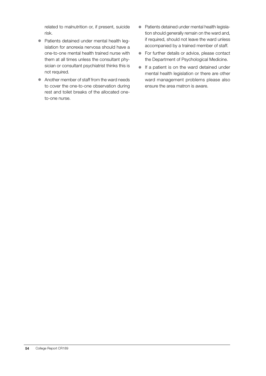related to malnutrition or, if present, suicide risk.

- Patients detained under mental health legislation for anorexia nervosa should have a one-to-one mental health trained nurse with them at all times unless the consultant physician or consultant psychiatrist thinks this is not required.
- Another member of staff from the ward needs to cover the one-to-one observation during rest and toilet breaks of the allocated oneto-one nurse.
- Patients detained under mental health legislation should generally remain on the ward and, if required, should not leave the ward unless accompanied by a trained member of staff.
- For further details or advice, please contact the Department of Psychological Medicine.
- $\bullet$  If a patient is on the ward detained under mental health legislation or there are other ward management problems please also ensure the area matron is aware.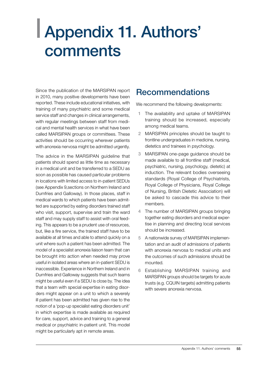## <span id="page-56-0"></span>| Appendix 11. Authors' comments

Since the publication of the MARSIPAN report in 2010, many positive developments have been reported. These include educational initiatives, with training of many psychiatric and some medical service staff and changes in clinical arrangements, with regular meetings between staff from medical and mental health services in what have been called MARSIPAN groups or committees. These activities should be occurring wherever patients with anorexia nervosa might be admitted urgently.

The advice in the MARSIPAN guideline that patients should spend as little time as necessary in a medical unit and be transferred to a SEDU as soon as possible has caused particular problems in locations with limited access to in-patient SEDUs (see Appendix 9,sections on Northern Ireland and Dumfries and Galloway). In those places, staff in medical wards to which patients have been admitted are supported by eating disorders trained staff who visit, support, supervise and train the ward staff and may supply staff to assist with oral feeding. This appears to be a prudent use of resources, but, like a fire service, the trained staff have to be available at all times and able to attend quickly on a unit where such a patient has been admitted. The model of a specialist anorexia liaison team that can be brought into action when needed may prove useful in isolated areas where an in-patient SEDU is inaccessible. Experience in Northern Ireland and in Dumfries and Galloway suggests that such teams might be useful even if a SEDU is close by. The idea that a team with special expertise in eating disorders might appear on a unit to which a severely ill patient has been admitted has given rise to the notion of a 'pop-up specialist eating disorders unit' in which expertise is made available as required for care, support, advice and training to a general medical or psychiatric in-patient unit. This model might be particularly apt in remote areas.

### Recommendations

We recommend the following developments:

- 1 The availability and uptake of MARSIPAN training should be increased, especially among medical teams.
- 2 MARSIPAN principles should be taught to frontline undergraduates in medicine, nursing, dietetics and trainees in psychology.
- 3 MARSIPAN one-page guidance should be made available to all frontline staff (medical, psychiatric, nursing, psychology, dietetic) at induction. The relevant bodies overseeing standards (Royal College of Psychiatrists, Royal College of Physicians, Royal College of Nursing, British Dietetic Association) will be asked to cascade this advice to their members.
- 4 The number of MARSIPAN groups bringing together eating disorders and medical expertise in planning and directing local services should be increased.
- 5 A nationwide survey of MARSIPAN implementation and an audit of admissions of patients with anorexia nervosa to medical units and the outcomes of such admissions should be mounted.
- 6 Establishing MARSIPAN training and MARSIPAN groups should be targets for acute trusts (e.g. CQUIN targets) admitting patients with severe anorexia nervosa.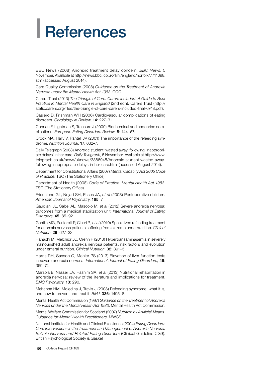# <span id="page-57-0"></span>**References**

BBC News (2008) Anorexic treatment delay concern. *BBC News*, 5 November. Available at http://news.bbc. co.uk/1/hi/england/norfolk/7711098. stm (accessed August 2014).

Care Quality Commission (2008) *Guidance on the Treatment of Anorexia Nervosa under the Mental Health Act 1983*. CQC.

Carers Trust (2013) *The Triangle of Care. Carers Included: A Guide to Best Practice in Mental Health Care in England* (2nd edn). Carers Trust (http:// static.carers.org/files/the-triangle-of-care-carers-included-final-6748.pdf).

Casiero D, Frishman WH (2006) Cardiovascular complications of eating disorders. *Cardiology in Review*, 14: 227–31.

Connan F, Lightman S, Treasure J (2000) Biochemical and endocrine complications. *European Eating Disorders Review*, 8: 144–57.

Crook MA, Hally V, Panteli JV (2001) The importance of the refeeding syndrome. *Nutrition Journal*, 17: 632–7.

Daily Telegraph (2008) Anorexic student 'wasted away' following 'inappropriate delays' in her care. *Daily Telegraph*, 5 November. Available at http://www. telegraph.co.uk/news/uknews/3386945/Anorexic-student-wasted-awayfollowing-inappropriate-delays-in-her-care.html (accessed August 2014).

Department for Constitutional Affairs (2007) *Mental Capacity Act 2005 Code of Practice*. TSO (The Stationery Office).

Department of Health (2008) *Code of Practice: Mental Health Act 1983*. TSO (The Stationery Office).

Fricchione GL, Nejad SH, Esses JA, *et al* (2008) Postoperative delirium. *American Journal of Psychiatry*, 165: 7.

Gaudiani JL, Sabel AL, Mascolo M, *et al* (2012) Severe anorexia nervosa: outcomes from a medical stabilization unit. *International Journal of Eating Disorders*, 45: 85–92.

Gentile MG, Pastorelli P, Ciceri R, *et al* (2010) Specialized refeeding treatment for anorexia nervosa patients suffering from extreme undernutrition. *Clinical Nutrition*, 29: 627–32.

Hanachi M, Melchior JC, Crenn P (2013) Hypertransaminasemia in severely malnourished adult anorexia nervosa patients: risk factors and evolution under enteral nutrition. *Clinical Nutrition*, 32: 391–5.

Harris RH, Sasson G, Mehler PS (2013) Elevation of liver function tests in severe anorexia nervosa. *International Journal of Eating Disorders*, 46: 369–74.

Marzola E, Nasser JA, Hashim SA, *et al* (2013) Nutritional rehabilitation in anorexia nervosa: review of the literature and implications for treatment. *BMC Psychiatry*, 13: 290.

Mehanna HM, Moledina J, Travis J (2008) Refeeding syndrome: what it is, and how to prevent and treat it. *BMJ*, 336: 1495–8.

Mental Health Act Commission (1997) *Guidance on the Treatment of Anorexia Nervosa under the Mental Health Act 1983*. Mental Health Act Commission.

Mental Welfare Commission for Scotland (2007) *Nutrition by Artificial Means: Guidance for Mental Health Practitioners*. MWCS.

National Institute for Health and Clinical Excellence (2004) *Eating Disorders: Core Interventions in the Treatment and Management of Anorexia Nervosa, Bulimia Nervosa and Related Eating Disorders* (Clinical Guideline CG9). British Psychological Society & Gaskell.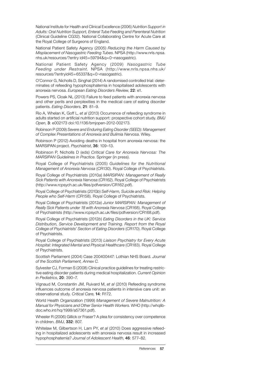National Institute for Health and Clinical Excellence (2006) *Nutrition Support in Adults: Oral Nutrition Support, Enteral Tube Feeding and Parenteral Nutrition*  (Clinical Guideline CG32). National Collaborating Centre for Acute Care at the Royal College of Surgeons of England.

National Patient Safety Agency (2005) *Reducing the Harm Caused by Misplacement of Nasogastric Feeding Tubes*. NPSA (http://www.nrls.npsa. nhs.uk/resources/?entry id45=59794&q=0¬nasogastric).

National Patient Safety Agency (2009) *Nasogastric Tube Feeding under Restraint*. NPSA (http://www.nrls.npsa.nhs.uk/ resources/?entryid45=65337&q=0¬nasogastric).

O'Connor G, Nicholls D, Singhal (2014) A randomised controlled trial: determinates of refeeding hypophosphatemia in hospitalised adolescents with anorexia nervosa. *European Eating Disorders Review*, 22: e1.

Powers PS, Cloak NL (2013) Failure to feed patients with anorexia nervosa and other perils and perplexities in the medical care of eating disorder patients. *Eating Disorders*, 21: 81–9.

Rio A, Whelan K, Goff L, *et al* (2013) Occurrence of refeeding syndrome in adults started on artificial nutrition support: prospective cohort study. *BMJ Open*, 3: e002173 doi:10.1136/bmjopen-2012-002173.

Robinson P (2009) *Severe and Enduring Eating Disorder (SEED): Management of Complex Presentations of Anorexia and Bulimia Nervosa*. Wiley.

Robinson P (2012) Avoiding deaths in hospital from anorexia nervosa: the MARSIPAN project. *Psychiatrist*, 36: 109–13.

Robinson P, Nicholls D (eds) *Critical Care for Anorexia Nervosa: The MARSIPAN Guidelines in Practice*. Springer (in press).

Royal College of Psychiatrists (2005) *Guidelines for the Nutritional Management of Anorexia Nervosa* (CR130). Royal College of Psychiatrists.

Royal College of Psychiatrists (2010*a*) *MARSIPAN: Management of Really Sick Patients with Anorexia Nervosa* (CR162). Royal College of Psychiatrists (http://www.rcpsych.ac.uk/files/pdfversion/CR162.pdf).

Royal College of Psychiatrists (2010*b*) *Self-Harm, Suicide and Risk: Helping People who Self-Harm* (CR158). Royal College of Psychiatrists.

Royal College of Psychiatrists (2012*a*) *Junior MARSIPAN: Management of Really Sick Patients under 18 with Anorexia Nervosa* (CR168). Royal College of Psychiatrists (http://www.rcpsych.ac.uk/files/pdfversion/CR168.pdf).

Royal College of Psychiatrists (2012*b*) *Eating Disorders in the UK: Service Distribution, Service Development and Training. Report from the Royal College of Psychiatrists' Section of Eating Disorders* (CR170). Royal College of Psychiatrists.

Royal College of Psychiatrists (2013) *Liaison Psychiatry for Every Acute Hospital: Integrated Mental and Physical Healthcare* (CR183). Royal College of Psychiatrists.

Scottish Parliament (2004) Case 200400447: Lothian NHS Board. *Journal of the Scottish Parliament, Annex C.*

Sylvester CJ, Forman S (2008) Clinical practice guidelines for treating restrictive eating disorder patients during medical hospitalization. *Current Opinion in Pediatrics*, 20: 390–7.

Vignaud M, Constantin JM, Ruivard M, *et al* (2010) Refeeding syndrome influences outcome of anorexia nervosa patients in intensive care unit: an observational study. *Critical Care*, 14: R172.

World Health Organization (1999) *Management of Severe Malnutrition: A Manual for Physicians and Other Senior Health Workers*. WHO (http://whqlibdoc.who.int/hq/1999/a57361.pdf).

Wheeler R (2006) Gillick or Fraser? A plea for consistency over competence in children. *BMJ*, 332: 807.

Whitelaw M, Gilbertson H, Lam PY, *et al* (2010) Does aggressive refeeding in hospitalized adolescents with anorexia nervosa result in increased hypophosphatemia? *Journal of Adolescent Health*, 46: 577–82.